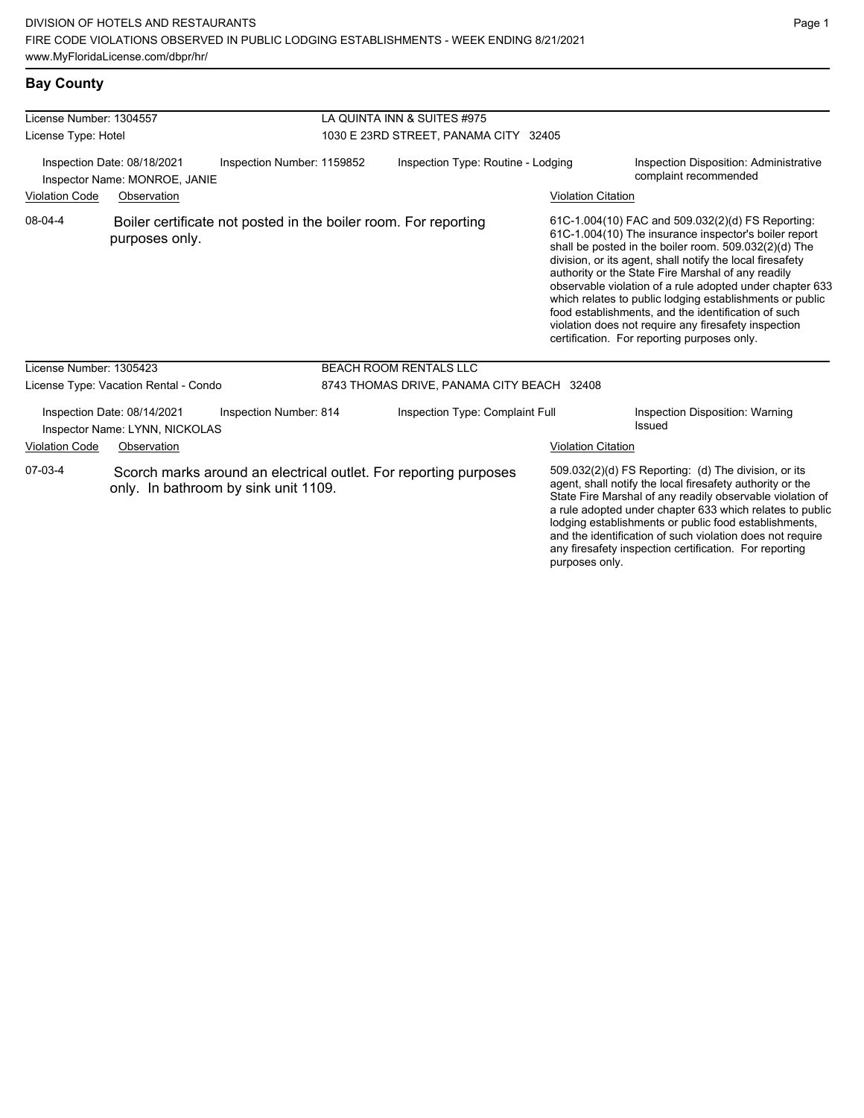#### **Bay County**

| License Number: 1304557<br>License Type: Hotel |                                                               |                                                                 | LA QUINTA INN & SUITES #975<br>1030 E 23RD STREET, PANAMA CITY 32405 |                                                                  |                           |                                                                                                                                                                                                                                                                                                                                                                                                                                                                                                                                                                              |  |
|------------------------------------------------|---------------------------------------------------------------|-----------------------------------------------------------------|----------------------------------------------------------------------|------------------------------------------------------------------|---------------------------|------------------------------------------------------------------------------------------------------------------------------------------------------------------------------------------------------------------------------------------------------------------------------------------------------------------------------------------------------------------------------------------------------------------------------------------------------------------------------------------------------------------------------------------------------------------------------|--|
|                                                | Inspection Date: 08/18/2021<br>Inspector Name: MONROE, JANIE  | Inspection Number: 1159852                                      | Inspection Type: Routine - Lodging                                   |                                                                  |                           | Inspection Disposition: Administrative<br>complaint recommended                                                                                                                                                                                                                                                                                                                                                                                                                                                                                                              |  |
| <b>Violation Code</b>                          | Observation                                                   |                                                                 |                                                                      |                                                                  | <b>Violation Citation</b> |                                                                                                                                                                                                                                                                                                                                                                                                                                                                                                                                                                              |  |
| 08-04-4                                        | purposes only.                                                | Boiler certificate not posted in the boiler room. For reporting |                                                                      |                                                                  |                           | 61C-1.004(10) FAC and 509.032(2)(d) FS Reporting:<br>61C-1.004(10) The insurance inspector's boiler report<br>shall be posted in the boiler room. 509.032(2)(d) The<br>division, or its agent, shall notify the local firesafety<br>authority or the State Fire Marshal of any readily<br>observable violation of a rule adopted under chapter 633<br>which relates to public lodging establishments or public<br>food establishments, and the identification of such<br>violation does not require any firesafety inspection<br>certification. For reporting purposes only. |  |
| License Number: 1305423                        |                                                               |                                                                 |                                                                      | <b>BEACH ROOM RENTALS LLC</b>                                    |                           |                                                                                                                                                                                                                                                                                                                                                                                                                                                                                                                                                                              |  |
|                                                | License Type: Vacation Rental - Condo                         |                                                                 |                                                                      | 8743 THOMAS DRIVE, PANAMA CITY BEACH 32408                       |                           |                                                                                                                                                                                                                                                                                                                                                                                                                                                                                                                                                                              |  |
|                                                | Inspection Date: 08/14/2021<br>Inspector Name: LYNN, NICKOLAS | Inspection Number: 814                                          |                                                                      | Inspection Type: Complaint Full                                  |                           | Inspection Disposition: Warning<br>Issued                                                                                                                                                                                                                                                                                                                                                                                                                                                                                                                                    |  |
| <b>Violation Code</b>                          | Observation                                                   |                                                                 |                                                                      |                                                                  | <b>Violation Citation</b> |                                                                                                                                                                                                                                                                                                                                                                                                                                                                                                                                                                              |  |
| 07-03-4                                        |                                                               | only. In bathroom by sink unit 1109.                            |                                                                      | Scorch marks around an electrical outlet. For reporting purposes |                           | 509.032(2)(d) FS Reporting: (d) The division, or its<br>agent, shall notify the local firesafety authority or the<br>State Fire Marshal of any readily observable violation of<br>a rule adopted under chapter 633 which relates to public<br>lodging establishments or public food establishments,<br>and the identification of such violation does not require<br>any firesafety inspection certification. For reporting                                                                                                                                                   |  |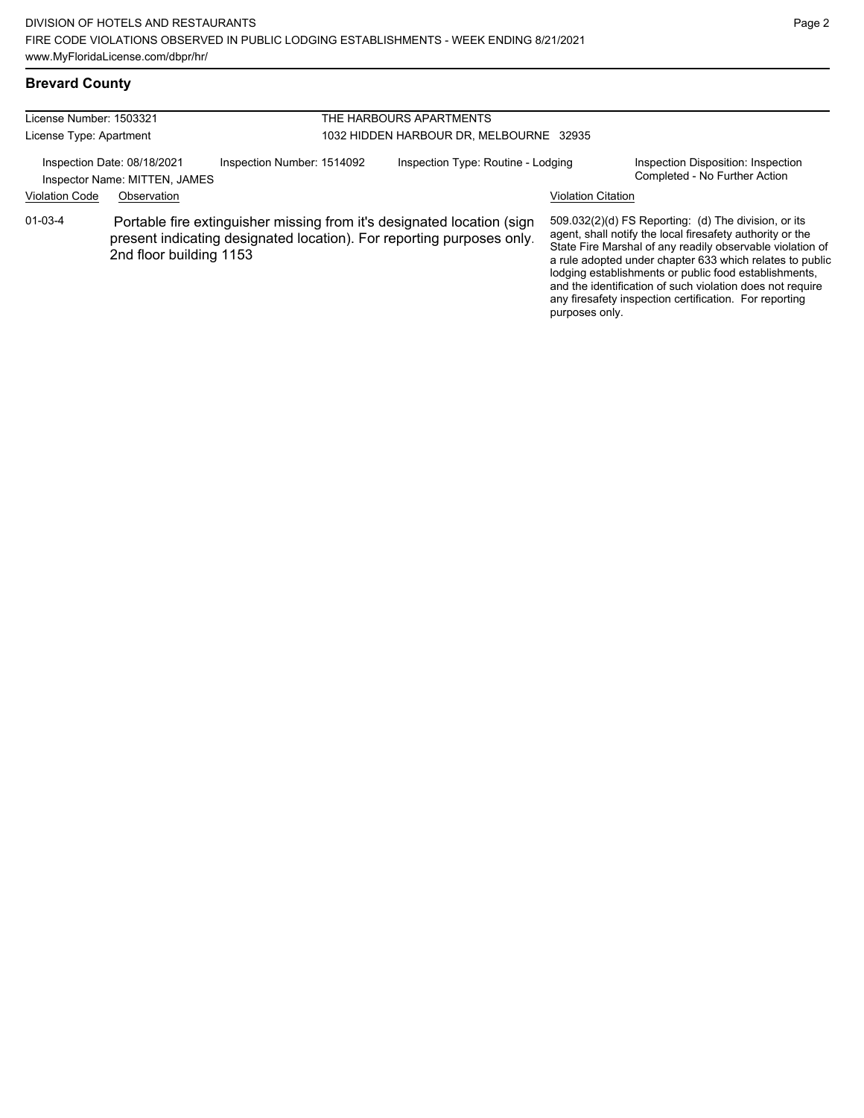### **Brevard County**

| License Number: 1503321<br>License Type: Apartment |                                                                             | THE HARBOURS APARTMENTS<br>1032 HIDDEN HARBOUR DR. MELBOURNE 32935 |  |                                                                                                                                                 |                           |                                                                                                                                                                                                                                                                                                                                                                                                                            |
|----------------------------------------------------|-----------------------------------------------------------------------------|--------------------------------------------------------------------|--|-------------------------------------------------------------------------------------------------------------------------------------------------|---------------------------|----------------------------------------------------------------------------------------------------------------------------------------------------------------------------------------------------------------------------------------------------------------------------------------------------------------------------------------------------------------------------------------------------------------------------|
| <b>Violation Code</b>                              | Inspection Date: 08/18/2021<br>Inspector Name: MITTEN, JAMES<br>Observation | Inspection Number: 1514092                                         |  | Inspection Type: Routine - Lodging                                                                                                              | <b>Violation Citation</b> | Inspection Disposition: Inspection<br>Completed - No Further Action                                                                                                                                                                                                                                                                                                                                                        |
| $01 - 03 - 4$                                      | 2nd floor building 1153                                                     |                                                                    |  | Portable fire extinguisher missing from it's designated location (sign<br>present indicating designated location). For reporting purposes only. | purposes only.            | 509.032(2)(d) FS Reporting: (d) The division, or its<br>agent, shall notify the local firesafety authority or the<br>State Fire Marshal of any readily observable violation of<br>a rule adopted under chapter 633 which relates to public<br>lodging establishments or public food establishments,<br>and the identification of such violation does not require<br>any firesafety inspection certification. For reporting |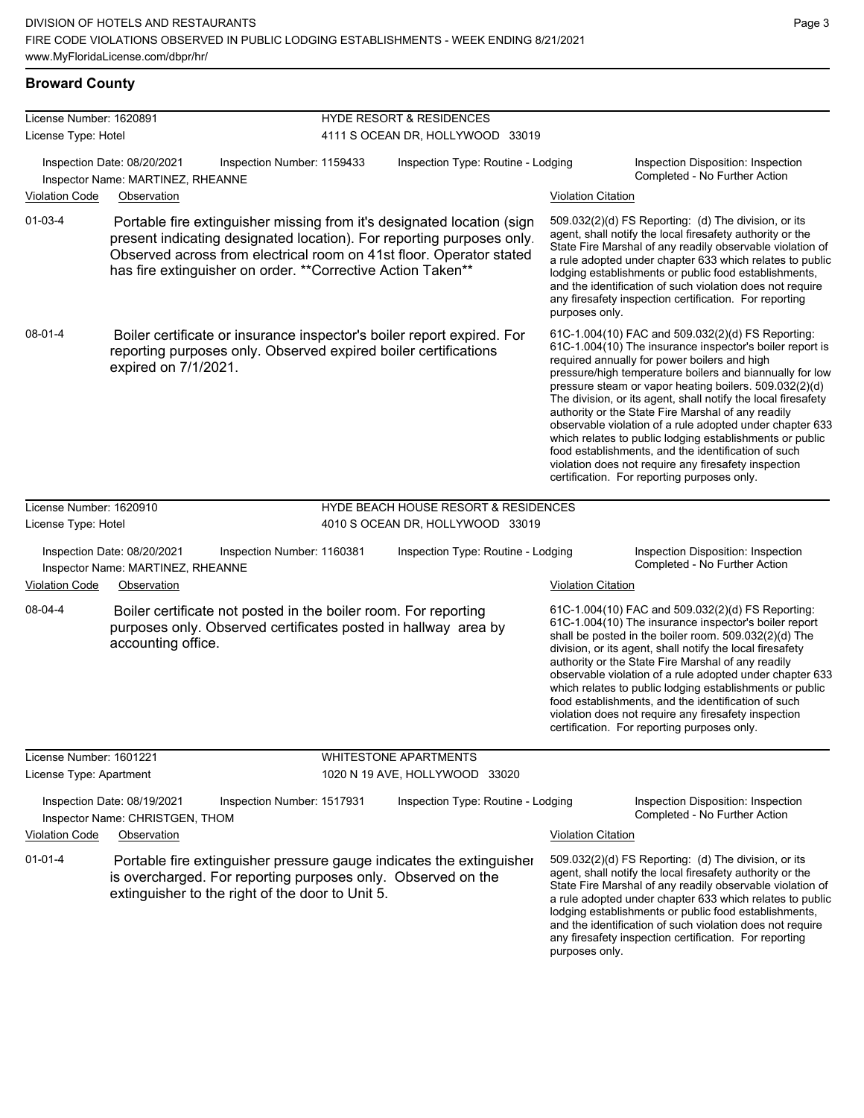#### **Broward County**

| License Number: 1620891 |                                                                                                                                                                                                                                                                                        | <b>HYDE RESORT &amp; RESIDENCES</b>             |                           |                                                                                                                                                                                                                                                                                                                                                                                                                                                                                                                                                                                                                                                                                                  |
|-------------------------|----------------------------------------------------------------------------------------------------------------------------------------------------------------------------------------------------------------------------------------------------------------------------------------|-------------------------------------------------|---------------------------|--------------------------------------------------------------------------------------------------------------------------------------------------------------------------------------------------------------------------------------------------------------------------------------------------------------------------------------------------------------------------------------------------------------------------------------------------------------------------------------------------------------------------------------------------------------------------------------------------------------------------------------------------------------------------------------------------|
| License Type: Hotel     |                                                                                                                                                                                                                                                                                        | 4111 S OCEAN DR, HOLLYWOOD 33019                |                           |                                                                                                                                                                                                                                                                                                                                                                                                                                                                                                                                                                                                                                                                                                  |
| <b>Violation Code</b>   | Inspection Date: 08/20/2021<br>Inspection Number: 1159433<br>Inspector Name: MARTINEZ, RHEANNE<br>Observation                                                                                                                                                                          | Inspection Type: Routine - Lodging              | <b>Violation Citation</b> | Inspection Disposition: Inspection<br>Completed - No Further Action                                                                                                                                                                                                                                                                                                                                                                                                                                                                                                                                                                                                                              |
| $01 - 03 - 4$           | Portable fire extinguisher missing from it's designated location (sign<br>present indicating designated location). For reporting purposes only.<br>Observed across from electrical room on 41st floor. Operator stated<br>has fire extinguisher on order. ** Corrective Action Taken** |                                                 | purposes only.            | 509.032(2)(d) FS Reporting: (d) The division, or its<br>agent, shall notify the local firesafety authority or the<br>State Fire Marshal of any readily observable violation of<br>a rule adopted under chapter 633 which relates to public<br>lodging establishments or public food establishments,<br>and the identification of such violation does not require<br>any firesafety inspection certification. For reporting                                                                                                                                                                                                                                                                       |
| 08-01-4                 | Boiler certificate or insurance inspector's boiler report expired. For<br>reporting purposes only. Observed expired boiler certifications<br>expired on 7/1/2021.                                                                                                                      |                                                 |                           | 61C-1.004(10) FAC and 509.032(2)(d) FS Reporting:<br>61C-1.004(10) The insurance inspector's boiler report is<br>required annually for power boilers and high<br>pressure/high temperature boilers and biannually for low<br>pressure steam or vapor heating boilers. 509.032(2)(d)<br>The division, or its agent, shall notify the local firesafety<br>authority or the State Fire Marshal of any readily<br>observable violation of a rule adopted under chapter 633<br>which relates to public lodging establishments or public<br>food establishments, and the identification of such<br>violation does not require any firesafety inspection<br>certification. For reporting purposes only. |
| License Number: 1620910 |                                                                                                                                                                                                                                                                                        | <b>HYDE BEACH HOUSE RESORT &amp; RESIDENCES</b> |                           |                                                                                                                                                                                                                                                                                                                                                                                                                                                                                                                                                                                                                                                                                                  |
| License Type: Hotel     |                                                                                                                                                                                                                                                                                        | 4010 S OCEAN DR, HOLLYWOOD 33019                |                           |                                                                                                                                                                                                                                                                                                                                                                                                                                                                                                                                                                                                                                                                                                  |
|                         | Inspection Date: 08/20/2021<br>Inspection Number: 1160381<br>Inspector Name: MARTINEZ, RHEANNE                                                                                                                                                                                         | Inspection Type: Routine - Lodging              |                           | Inspection Disposition: Inspection<br>Completed - No Further Action                                                                                                                                                                                                                                                                                                                                                                                                                                                                                                                                                                                                                              |
| Violation Code          | Observation                                                                                                                                                                                                                                                                            |                                                 | <b>Violation Citation</b> |                                                                                                                                                                                                                                                                                                                                                                                                                                                                                                                                                                                                                                                                                                  |
| 08-04-4                 | Boiler certificate not posted in the boiler room. For reporting<br>purposes only. Observed certificates posted in hallway area by<br>accounting office.                                                                                                                                |                                                 |                           | 61C-1.004(10) FAC and 509.032(2)(d) FS Reporting:<br>61C-1.004(10) The insurance inspector's boiler report<br>shall be posted in the boiler room. 509.032(2)(d) The<br>division, or its agent, shall notify the local firesafety<br>authority or the State Fire Marshal of any readily<br>observable violation of a rule adopted under chapter 633<br>which relates to public lodging establishments or public<br>food establishments, and the identification of such<br>violation does not require any firesafety inspection<br>certification. For reporting purposes only.                                                                                                                     |
| License Number: 1601221 |                                                                                                                                                                                                                                                                                        | <b>WHITESTONE APARTMENTS</b>                    |                           |                                                                                                                                                                                                                                                                                                                                                                                                                                                                                                                                                                                                                                                                                                  |
| License Type: Apartment |                                                                                                                                                                                                                                                                                        | 1020 N 19 AVE, HOLLYWOOD 33020                  |                           |                                                                                                                                                                                                                                                                                                                                                                                                                                                                                                                                                                                                                                                                                                  |
|                         | Inspection Date: 08/19/2021<br>Inspection Number: 1517931<br>Inspector Name: CHRISTGEN, THOM                                                                                                                                                                                           | Inspection Type: Routine - Lodging              |                           | Inspection Disposition: Inspection<br>Completed - No Further Action                                                                                                                                                                                                                                                                                                                                                                                                                                                                                                                                                                                                                              |
| <b>Violation Code</b>   | Observation                                                                                                                                                                                                                                                                            |                                                 | <b>Violation Citation</b> |                                                                                                                                                                                                                                                                                                                                                                                                                                                                                                                                                                                                                                                                                                  |
| $01 - 01 - 4$           | Portable fire extinguisher pressure gauge indicates the extinguisher<br>is overcharged. For reporting purposes only. Observed on the<br>extinguisher to the right of the door to Unit 5.                                                                                               |                                                 |                           | 509.032(2)(d) FS Reporting: (d) The division, or its<br>agent, shall notify the local firesafety authority or the<br>State Fire Marshal of any readily observable violation of<br>a rule adopted under chapter 633 which relates to public<br>lodging establishments or public food establishments,<br>and the identification of such violation does not require<br>any firesafety inspection certification. For reporting                                                                                                                                                                                                                                                                       |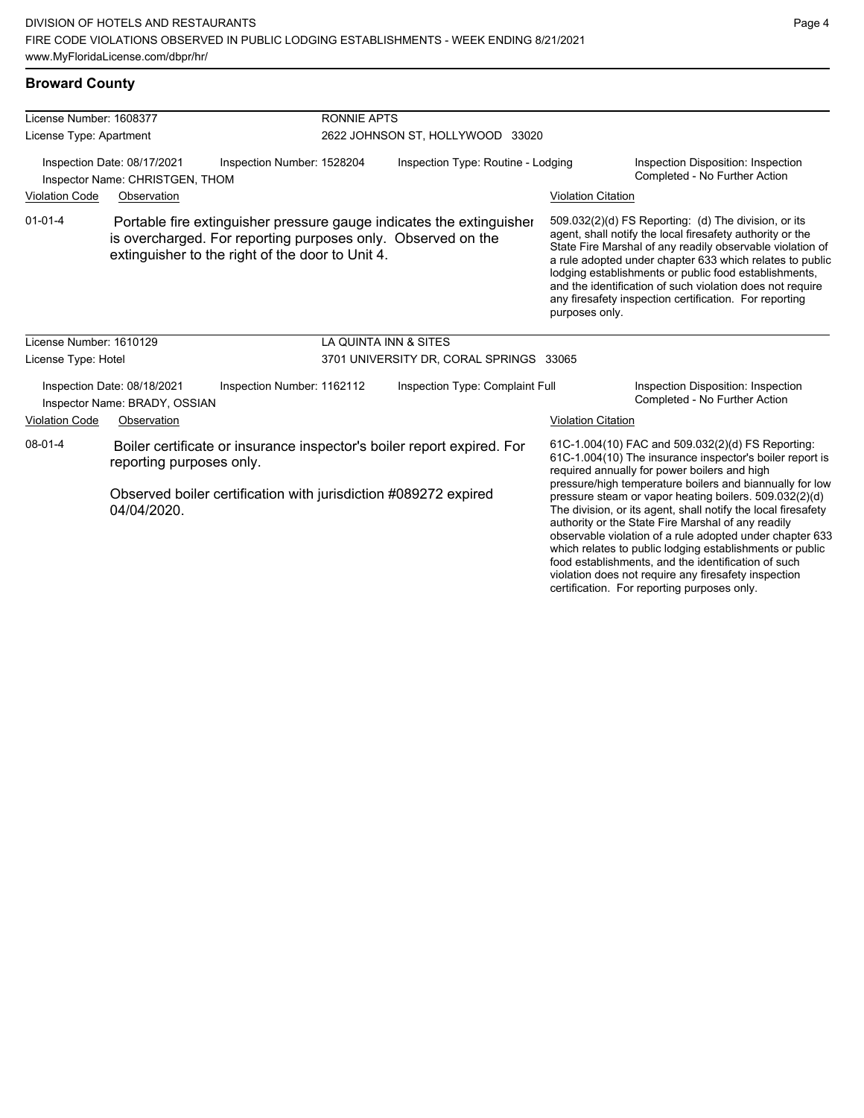| <b>Broward County</b>   |                                                                |                                                                                                                                                                                          |                                    |                           |                                                                                                                                                                                                                                                                                                                                                    |  |
|-------------------------|----------------------------------------------------------------|------------------------------------------------------------------------------------------------------------------------------------------------------------------------------------------|------------------------------------|---------------------------|----------------------------------------------------------------------------------------------------------------------------------------------------------------------------------------------------------------------------------------------------------------------------------------------------------------------------------------------------|--|
| License Number: 1608377 |                                                                | RONNIE APTS                                                                                                                                                                              |                                    |                           |                                                                                                                                                                                                                                                                                                                                                    |  |
| License Type: Apartment |                                                                |                                                                                                                                                                                          | 2622 JOHNSON ST, HOLLYWOOD 33020   |                           |                                                                                                                                                                                                                                                                                                                                                    |  |
|                         | Inspection Date: 08/17/2021<br>Inspector Name: CHRISTGEN, THOM | Inspection Number: 1528204                                                                                                                                                               | Inspection Type: Routine - Lodging |                           | Inspection Disposition: Inspection<br>Completed - No Further Action                                                                                                                                                                                                                                                                                |  |
| <b>Violation Code</b>   | Observation                                                    |                                                                                                                                                                                          |                                    | <b>Violation Citation</b> |                                                                                                                                                                                                                                                                                                                                                    |  |
| $01 - 01 - 4$           |                                                                | Portable fire extinguisher pressure gauge indicates the extinguisher<br>is overcharged. For reporting purposes only. Observed on the<br>extinguisher to the right of the door to Unit 4. |                                    |                           | 509.032(2)(d) FS Reporting: (d) The division, or its<br>agent, shall notify the local firesafety authority or the<br>State Fire Marshal of any readily observable violation<br>a rule adopted under chapter 633 which relates to p<br>lodging establishments or public food establishmen<br>and the identification of such violation does not requ |  |

# **Diation Citation**

509.032(2)(d) FS Reporting: (d) The division, or its agent, shall notify the local firesafety authority or the State Fire Marshal of any readily observable violation of a rule adopted under chapter 633 which relates to public lodging establishments or public food establishments, and the identification of such violation does not require any firesafety inspection certification. For reporting purposes only.

| License Number: 1610129<br>License Type: Hotel                                             |                                                                                                    | LA QUINTA INN & SITES<br>3701 UNIVERSITY DR, CORAL SPRINGS 33065 |  |                                                                                                                                                               |                                                                                                                                                                                                                                                                                                                                                                                                                                                                                                                                 |
|--------------------------------------------------------------------------------------------|----------------------------------------------------------------------------------------------------|------------------------------------------------------------------|--|---------------------------------------------------------------------------------------------------------------------------------------------------------------|---------------------------------------------------------------------------------------------------------------------------------------------------------------------------------------------------------------------------------------------------------------------------------------------------------------------------------------------------------------------------------------------------------------------------------------------------------------------------------------------------------------------------------|
| Inspection Date: 08/18/2021<br>Inspection Number: 1162112<br>Inspector Name: BRADY, OSSIAN |                                                                                                    | Inspection Type: Complaint Full                                  |  | Inspection Disposition: Inspection<br>Completed - No Further Action                                                                                           |                                                                                                                                                                                                                                                                                                                                                                                                                                                                                                                                 |
| <b>Violation Code</b>                                                                      | Observation                                                                                        |                                                                  |  | Violation Citation                                                                                                                                            |                                                                                                                                                                                                                                                                                                                                                                                                                                                                                                                                 |
| 08-01-4                                                                                    | Boiler certificate or insurance inspector's boiler report expired. For<br>reporting purposes only. |                                                                  |  | 61C-1.004(10) FAC and 509.032(2)(d) FS Reporting:<br>61C-1.004(10) The insurance inspector's boiler report is<br>required annually for power boilers and high |                                                                                                                                                                                                                                                                                                                                                                                                                                                                                                                                 |
|                                                                                            | Observed boiler certification with jurisdiction #089272 expired<br>04/04/2020.                     |                                                                  |  |                                                                                                                                                               | pressure/high temperature boilers and biannually for low<br>pressure steam or vapor heating boilers. 509.032(2)(d)<br>The division, or its agent, shall notify the local firesafety<br>authority or the State Fire Marshal of any readily<br>observable violation of a rule adopted under chapter 633<br>which relates to public lodging establishments or public<br>food establishments, and the identification of such<br>violation does not require any firesafety inspection<br>certification. For reporting purposes only. |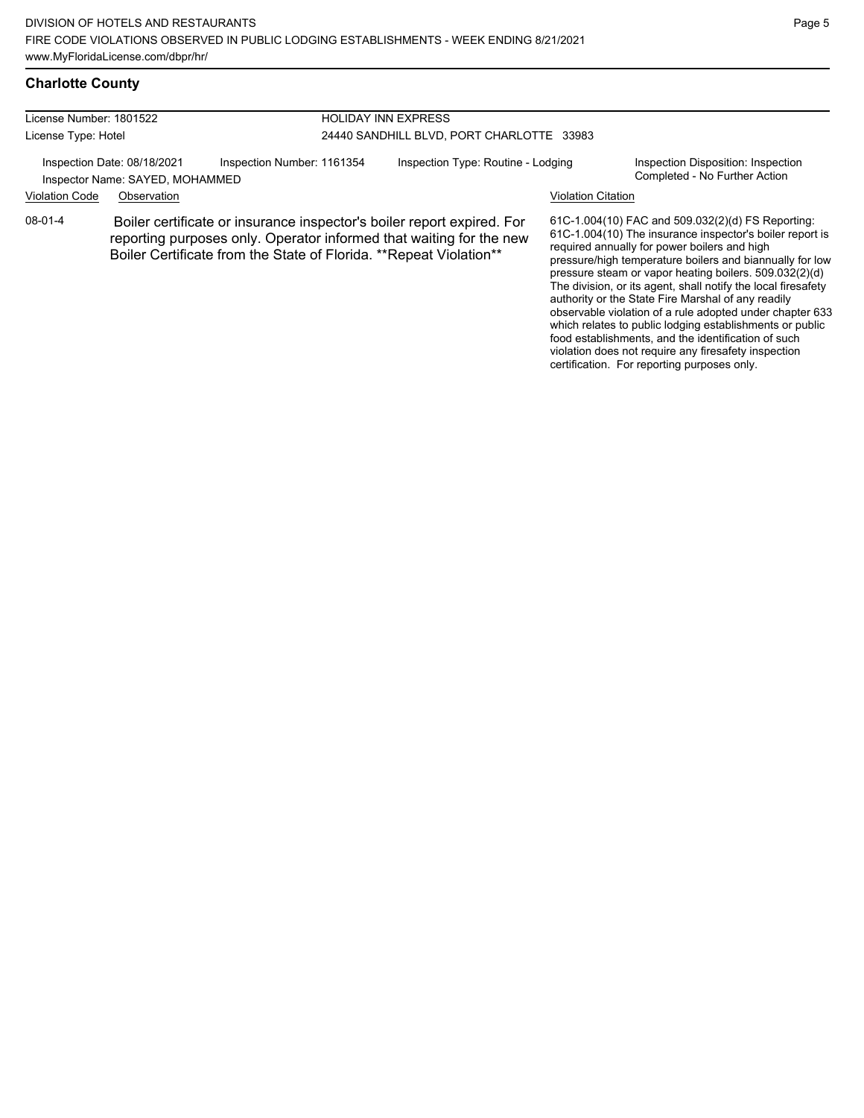| License Number: 1801522                                        |             |                                                                                                                                                                                                                      | <b>HOLIDAY INN EXPRESS</b>                |                           |                                                                                                                                                                                                                                                                                                                                                      |  |
|----------------------------------------------------------------|-------------|----------------------------------------------------------------------------------------------------------------------------------------------------------------------------------------------------------------------|-------------------------------------------|---------------------------|------------------------------------------------------------------------------------------------------------------------------------------------------------------------------------------------------------------------------------------------------------------------------------------------------------------------------------------------------|--|
| License Type: Hotel                                            |             |                                                                                                                                                                                                                      | 24440 SANDHILL BLVD, PORT CHARLOTTE 33983 |                           |                                                                                                                                                                                                                                                                                                                                                      |  |
| Inspection Date: 08/18/2021<br>Inspector Name: SAYED, MOHAMMED |             | Inspection Number: 1161354                                                                                                                                                                                           | Inspection Type: Routine - Lodging        |                           | Inspection Disposition: Inspection<br>Completed - No Further Action                                                                                                                                                                                                                                                                                  |  |
| <b>Violation Code</b>                                          | Observation |                                                                                                                                                                                                                      |                                           | <b>Violation Citation</b> |                                                                                                                                                                                                                                                                                                                                                      |  |
| 08-01-4                                                        |             | Boiler certificate or insurance inspector's boiler report expired. For<br>reporting purposes only. Operator informed that waiting for the new<br>Boiler Certificate from the State of Florida. ** Repeat Violation** |                                           |                           | 61C-1.004(10) FAC and 509.032(2)(d) FS Reporting:<br>61C-1.004(10) The insurance inspector's boiler report is<br>required annually for power boilers and high<br>pressure/high temperature boilers and biannually for low<br>pressure steam or vapor heating boilers. 509.032(2)(d)<br>The division, or its agent, shall notify the local firesafety |  |

The division, or its agent, shall notify the local firesafety authority or the State Fire Marshal of any readily observable violation of a rule adopted under chapter 633 which relates to public lodging establishments or public food establishments, and the identification of such

violation does not require any firesafety inspection certification. For reporting purposes only.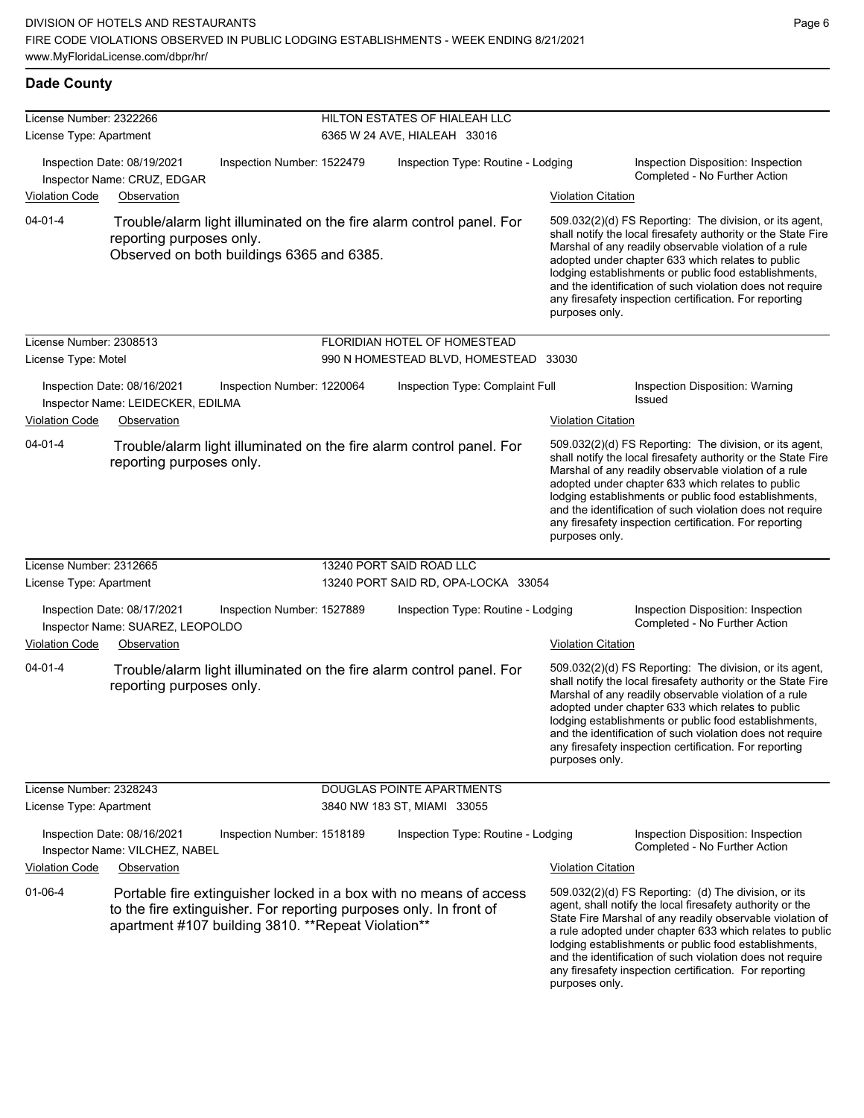| License Number: 2322266 |                                                                                                                                                                                                 | HILTON ESTATES OF HIALEAH LLC         |                           |                                                                                                                                                                                                                                                                                                                                                                                                                            |
|-------------------------|-------------------------------------------------------------------------------------------------------------------------------------------------------------------------------------------------|---------------------------------------|---------------------------|----------------------------------------------------------------------------------------------------------------------------------------------------------------------------------------------------------------------------------------------------------------------------------------------------------------------------------------------------------------------------------------------------------------------------|
| License Type: Apartment |                                                                                                                                                                                                 | 6365 W 24 AVE, HIALEAH 33016          |                           |                                                                                                                                                                                                                                                                                                                                                                                                                            |
|                         | Inspection Date: 08/19/2021<br>Inspection Number: 1522479<br>Inspector Name: CRUZ, EDGAR                                                                                                        | Inspection Type: Routine - Lodging    |                           | Inspection Disposition: Inspection<br>Completed - No Further Action                                                                                                                                                                                                                                                                                                                                                        |
| <b>Violation Code</b>   | Observation                                                                                                                                                                                     |                                       | <b>Violation Citation</b> |                                                                                                                                                                                                                                                                                                                                                                                                                            |
| $04 - 01 - 4$           | Trouble/alarm light illuminated on the fire alarm control panel. For<br>reporting purposes only.<br>Observed on both buildings 6365 and 6385.                                                   |                                       | purposes only.            | 509.032(2)(d) FS Reporting: The division, or its agent,<br>shall notify the local firesafety authority or the State Fire<br>Marshal of any readily observable violation of a rule<br>adopted under chapter 633 which relates to public<br>lodging establishments or public food establishments,<br>and the identification of such violation does not require<br>any firesafety inspection certification. For reporting     |
| License Number: 2308513 |                                                                                                                                                                                                 | FLORIDIAN HOTEL OF HOMESTEAD          |                           |                                                                                                                                                                                                                                                                                                                                                                                                                            |
| License Type: Motel     |                                                                                                                                                                                                 | 990 N HOMESTEAD BLVD, HOMESTEAD 33030 |                           |                                                                                                                                                                                                                                                                                                                                                                                                                            |
|                         | Inspection Date: 08/16/2021<br>Inspection Number: 1220064<br>Inspector Name: LEIDECKER, EDILMA                                                                                                  | Inspection Type: Complaint Full       |                           | Inspection Disposition: Warning<br><b>Issued</b>                                                                                                                                                                                                                                                                                                                                                                           |
| <b>Violation Code</b>   | Observation                                                                                                                                                                                     |                                       | <b>Violation Citation</b> |                                                                                                                                                                                                                                                                                                                                                                                                                            |
| $04 - 01 - 4$           | Trouble/alarm light illuminated on the fire alarm control panel. For<br>reporting purposes only.                                                                                                |                                       | purposes only.            | 509.032(2)(d) FS Reporting: The division, or its agent,<br>shall notify the local firesafety authority or the State Fire<br>Marshal of any readily observable violation of a rule<br>adopted under chapter 633 which relates to public<br>lodging establishments or public food establishments,<br>and the identification of such violation does not require<br>any firesafety inspection certification. For reporting     |
| License Number: 2312665 |                                                                                                                                                                                                 | 13240 PORT SAID ROAD LLC              |                           |                                                                                                                                                                                                                                                                                                                                                                                                                            |
| License Type: Apartment |                                                                                                                                                                                                 | 13240 PORT SAID RD, OPA-LOCKA 33054   |                           |                                                                                                                                                                                                                                                                                                                                                                                                                            |
|                         | Inspection Date: 08/17/2021<br>Inspection Number: 1527889<br>Inspector Name: SUAREZ, LEOPOLDO                                                                                                   | Inspection Type: Routine - Lodging    |                           | Inspection Disposition: Inspection<br>Completed - No Further Action                                                                                                                                                                                                                                                                                                                                                        |
| <b>Violation Code</b>   | Observation                                                                                                                                                                                     |                                       | <b>Violation Citation</b> |                                                                                                                                                                                                                                                                                                                                                                                                                            |
| $04 - 01 - 4$           | Trouble/alarm light illuminated on the fire alarm control panel. For<br>reporting purposes only.                                                                                                |                                       | purposes only.            | 509.032(2)(d) FS Reporting: The division, or its agent,<br>shall notify the local firesafety authority or the State Fire<br>Marshal of any readily observable violation of a rule<br>adopted under chapter 633 which relates to public<br>lodging establishments or public food establishments,<br>and the identification of such violation does not require<br>any firesafety inspection certification. For reporting     |
| License Number: 2328243 |                                                                                                                                                                                                 | DOUGLAS POINTE APARTMENTS             |                           |                                                                                                                                                                                                                                                                                                                                                                                                                            |
| License Type: Apartment |                                                                                                                                                                                                 | 3840 NW 183 ST, MIAMI 33055           |                           |                                                                                                                                                                                                                                                                                                                                                                                                                            |
|                         | Inspection Date: 08/16/2021<br>Inspection Number: 1518189<br>Inspector Name: VILCHEZ, NABEL                                                                                                     | Inspection Type: Routine - Lodging    |                           | Inspection Disposition: Inspection<br>Completed - No Further Action                                                                                                                                                                                                                                                                                                                                                        |
| <b>Violation Code</b>   | Observation                                                                                                                                                                                     |                                       | <b>Violation Citation</b> |                                                                                                                                                                                                                                                                                                                                                                                                                            |
| $01 - 06 - 4$           | Portable fire extinguisher locked in a box with no means of access<br>to the fire extinguisher. For reporting purposes only. In front of<br>apartment #107 building 3810. ** Repeat Violation** |                                       | purposes only.            | 509.032(2)(d) FS Reporting: (d) The division, or its<br>agent, shall notify the local firesafety authority or the<br>State Fire Marshal of any readily observable violation of<br>a rule adopted under chapter 633 which relates to public<br>lodging establishments or public food establishments,<br>and the identification of such violation does not require<br>any firesafety inspection certification. For reporting |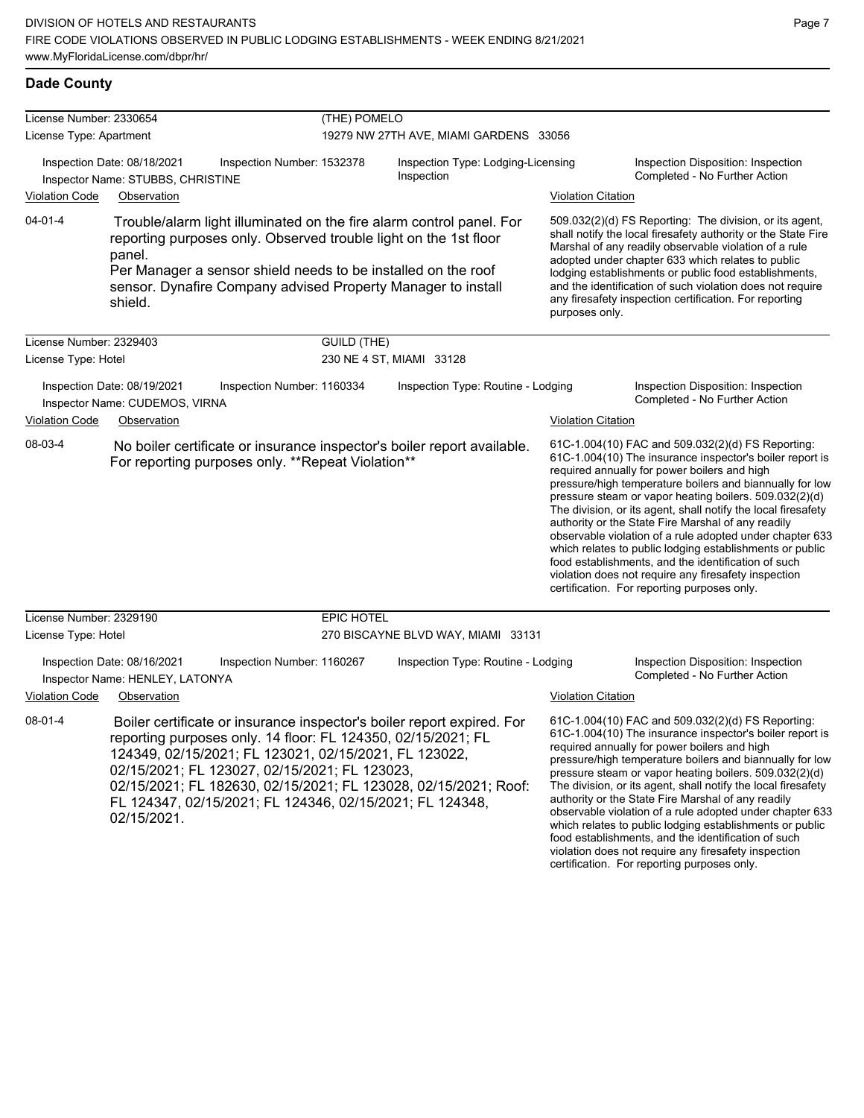#### **Dade County**

| License Number: 2330654 |                                                                                                                                                                                                                                                                                                                                                                                                | (THE) POMELO               |                                                                         |                           |                                                                                                                                                                                                                                                                                                                                                                                                                                                                                                                                                                                                                                                                                                  |  |
|-------------------------|------------------------------------------------------------------------------------------------------------------------------------------------------------------------------------------------------------------------------------------------------------------------------------------------------------------------------------------------------------------------------------------------|----------------------------|-------------------------------------------------------------------------|---------------------------|--------------------------------------------------------------------------------------------------------------------------------------------------------------------------------------------------------------------------------------------------------------------------------------------------------------------------------------------------------------------------------------------------------------------------------------------------------------------------------------------------------------------------------------------------------------------------------------------------------------------------------------------------------------------------------------------------|--|
| License Type: Apartment |                                                                                                                                                                                                                                                                                                                                                                                                |                            | 19279 NW 27TH AVE, MIAMI GARDENS 33056                                  |                           |                                                                                                                                                                                                                                                                                                                                                                                                                                                                                                                                                                                                                                                                                                  |  |
| <b>Violation Code</b>   | Inspection Date: 08/18/2021<br>Inspector Name: STUBBS, CHRISTINE<br>Observation                                                                                                                                                                                                                                                                                                                | Inspection Number: 1532378 | Inspection Type: Lodging-Licensing<br>Inspection                        | <b>Violation Citation</b> | Inspection Disposition: Inspection<br>Completed - No Further Action                                                                                                                                                                                                                                                                                                                                                                                                                                                                                                                                                                                                                              |  |
| $04 - 01 - 4$           | Trouble/alarm light illuminated on the fire alarm control panel. For<br>reporting purposes only. Observed trouble light on the 1st floor<br>panel.<br>Per Manager a sensor shield needs to be installed on the roof<br>sensor. Dynafire Company advised Property Manager to install<br>shield.                                                                                                 |                            |                                                                         | purposes only.            | 509.032(2)(d) FS Reporting: The division, or its agent,<br>shall notify the local firesafety authority or the State Fire<br>Marshal of any readily observable violation of a rule<br>adopted under chapter 633 which relates to public<br>lodging establishments or public food establishments,<br>and the identification of such violation does not require<br>any firesafety inspection certification. For reporting                                                                                                                                                                                                                                                                           |  |
| License Number: 2329403 |                                                                                                                                                                                                                                                                                                                                                                                                | <b>GUILD (THE)</b>         |                                                                         |                           |                                                                                                                                                                                                                                                                                                                                                                                                                                                                                                                                                                                                                                                                                                  |  |
| License Type: Hotel     |                                                                                                                                                                                                                                                                                                                                                                                                |                            | 230 NE 4 ST, MIAMI 33128                                                |                           |                                                                                                                                                                                                                                                                                                                                                                                                                                                                                                                                                                                                                                                                                                  |  |
|                         | Inspection Date: 08/19/2021<br>Inspector Name: CUDEMOS, VIRNA                                                                                                                                                                                                                                                                                                                                  | Inspection Number: 1160334 | Inspection Type: Routine - Lodging                                      |                           | Inspection Disposition: Inspection<br>Completed - No Further Action                                                                                                                                                                                                                                                                                                                                                                                                                                                                                                                                                                                                                              |  |
| <b>Violation Code</b>   | Observation                                                                                                                                                                                                                                                                                                                                                                                    |                            |                                                                         | <b>Violation Citation</b> |                                                                                                                                                                                                                                                                                                                                                                                                                                                                                                                                                                                                                                                                                                  |  |
| 08-03-4                 | For reporting purposes only. **Repeat Violation**                                                                                                                                                                                                                                                                                                                                              |                            | No boiler certificate or insurance inspector's boiler report available. |                           | 61C-1.004(10) FAC and 509.032(2)(d) FS Reporting:<br>61C-1.004(10) The insurance inspector's boiler report is<br>required annually for power boilers and high<br>pressure/high temperature boilers and biannually for low<br>pressure steam or vapor heating boilers. 509.032(2)(d)<br>The division, or its agent, shall notify the local firesafety<br>authority or the State Fire Marshal of any readily<br>observable violation of a rule adopted under chapter 633<br>which relates to public lodging establishments or public<br>food establishments, and the identification of such<br>violation does not require any firesafety inspection<br>certification. For reporting purposes only. |  |
| License Number: 2329190 |                                                                                                                                                                                                                                                                                                                                                                                                | <b>EPIC HOTEL</b>          |                                                                         |                           |                                                                                                                                                                                                                                                                                                                                                                                                                                                                                                                                                                                                                                                                                                  |  |
| License Type: Hotel     |                                                                                                                                                                                                                                                                                                                                                                                                |                            | 270 BISCAYNE BLVD WAY, MIAMI 33131                                      |                           |                                                                                                                                                                                                                                                                                                                                                                                                                                                                                                                                                                                                                                                                                                  |  |
|                         | Inspection Date: 08/16/2021<br>Inspector Name: HENLEY, LATONYA                                                                                                                                                                                                                                                                                                                                 | Inspection Number: 1160267 | Inspection Type: Routine - Lodging                                      |                           | Inspection Disposition: Inspection<br>Completed - No Further Action                                                                                                                                                                                                                                                                                                                                                                                                                                                                                                                                                                                                                              |  |
| <b>Violation Code</b>   | Observation                                                                                                                                                                                                                                                                                                                                                                                    |                            |                                                                         | <b>Violation Citation</b> |                                                                                                                                                                                                                                                                                                                                                                                                                                                                                                                                                                                                                                                                                                  |  |
| $08 - 01 - 4$           | Boiler certificate or insurance inspector's boiler report expired. For<br>reporting purposes only. 14 floor: FL 124350, 02/15/2021; FL<br>124349, 02/15/2021; FL 123021, 02/15/2021, FL 123022,<br>02/15/2021; FL 123027, 02/15/2021; FL 123023,<br>02/15/2021; FL 182630, 02/15/2021; FL 123028, 02/15/2021; Roof:<br>FL 124347, 02/15/2021; FL 124346, 02/15/2021; FL 124348,<br>02/15/2021. |                            |                                                                         |                           | 61C-1.004(10) FAC and 509.032(2)(d) FS Reporting:<br>61C-1.004(10) The insurance inspector's boiler report is<br>required annually for power boilers and high<br>pressure/high temperature boilers and biannually for low<br>pressure steam or vapor heating boilers. 509.032(2)(d)<br>The division, or its agent, shall notify the local firesafety<br>authority or the State Fire Marshal of any readily<br>observable violation of a rule adopted under chapter 633<br>which relates to public lodging establishments or public                                                                                                                                                               |  |

food establishments, and the identification of such violation does not require any firesafety inspection certification. For reporting purposes only.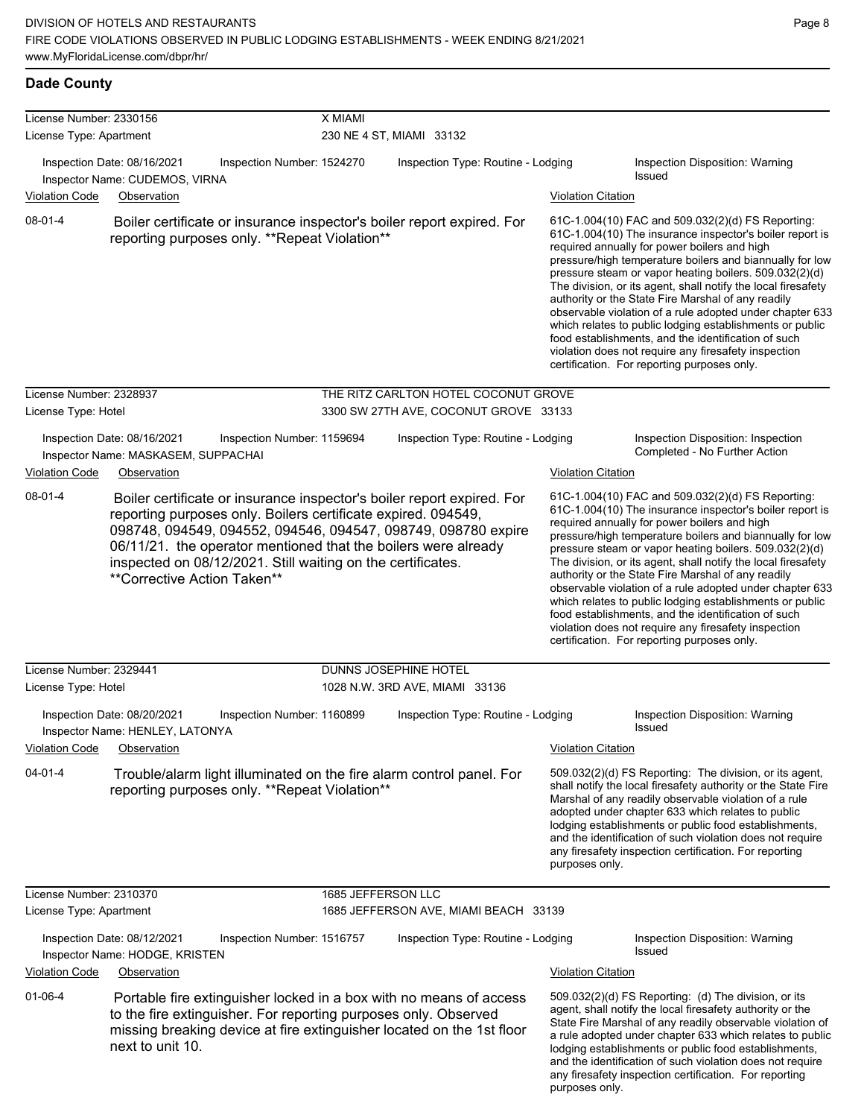| <b>Dade County</b> |
|--------------------|
|                    |

| License Number: 2330156                            |                                                                                                                                                                                                                                                                                                                                                                          | X MIAMI                            |                                       |                           |                                                                                                                                                                                                                                                                                                                                                                                                                                                                                                                                                                                                                                                                                                  |  |  |
|----------------------------------------------------|--------------------------------------------------------------------------------------------------------------------------------------------------------------------------------------------------------------------------------------------------------------------------------------------------------------------------------------------------------------------------|------------------------------------|---------------------------------------|---------------------------|--------------------------------------------------------------------------------------------------------------------------------------------------------------------------------------------------------------------------------------------------------------------------------------------------------------------------------------------------------------------------------------------------------------------------------------------------------------------------------------------------------------------------------------------------------------------------------------------------------------------------------------------------------------------------------------------------|--|--|
| License Type: Apartment                            |                                                                                                                                                                                                                                                                                                                                                                          | 230 NE 4 ST, MIAMI 33132           |                                       |                           |                                                                                                                                                                                                                                                                                                                                                                                                                                                                                                                                                                                                                                                                                                  |  |  |
| <b>Violation Code</b>                              | Inspection Date: 08/16/2021<br>Inspection Number: 1524270<br>Inspector Name: CUDEMOS, VIRNA<br>Observation                                                                                                                                                                                                                                                               | Inspection Type: Routine - Lodging |                                       | <b>Violation Citation</b> | Inspection Disposition: Warning<br>Issued                                                                                                                                                                                                                                                                                                                                                                                                                                                                                                                                                                                                                                                        |  |  |
| 08-01-4                                            | Boiler certificate or insurance inspector's boiler report expired. For<br>reporting purposes only. **Repeat Violation**                                                                                                                                                                                                                                                  |                                    |                                       |                           | 61C-1.004(10) FAC and 509.032(2)(d) FS Reporting:<br>61C-1.004(10) The insurance inspector's boiler report is<br>required annually for power boilers and high<br>pressure/high temperature boilers and biannually for low<br>pressure steam or vapor heating boilers. 509.032(2)(d)<br>The division, or its agent, shall notify the local firesafety<br>authority or the State Fire Marshal of any readily<br>observable violation of a rule adopted under chapter 633<br>which relates to public lodging establishments or public<br>food establishments, and the identification of such<br>violation does not require any firesafety inspection<br>certification. For reporting purposes only. |  |  |
| License Number: 2328937                            |                                                                                                                                                                                                                                                                                                                                                                          |                                    | THE RITZ CARLTON HOTEL COCONUT GROVE  |                           |                                                                                                                                                                                                                                                                                                                                                                                                                                                                                                                                                                                                                                                                                                  |  |  |
| License Type: Hotel                                |                                                                                                                                                                                                                                                                                                                                                                          |                                    | 3300 SW 27TH AVE, COCONUT GROVE 33133 |                           |                                                                                                                                                                                                                                                                                                                                                                                                                                                                                                                                                                                                                                                                                                  |  |  |
|                                                    | Inspection Date: 08/16/2021<br>Inspection Number: 1159694<br>Inspector Name: MASKASEM, SUPPACHAI                                                                                                                                                                                                                                                                         |                                    | Inspection Type: Routine - Lodging    |                           | Inspection Disposition: Inspection<br>Completed - No Further Action                                                                                                                                                                                                                                                                                                                                                                                                                                                                                                                                                                                                                              |  |  |
| <b>Violation Code</b>                              | Observation                                                                                                                                                                                                                                                                                                                                                              |                                    |                                       | <b>Violation Citation</b> |                                                                                                                                                                                                                                                                                                                                                                                                                                                                                                                                                                                                                                                                                                  |  |  |
| 08-01-4                                            | Boiler certificate or insurance inspector's boiler report expired. For<br>reporting purposes only. Boilers certificate expired. 094549,<br>098748, 094549, 094552, 094546, 094547, 098749, 098780 expire<br>06/11/21. the operator mentioned that the boilers were already<br>inspected on 08/12/2021. Still waiting on the certificates.<br>**Corrective Action Taken** |                                    |                                       |                           | 61C-1.004(10) FAC and 509.032(2)(d) FS Reporting:<br>61C-1.004(10) The insurance inspector's boiler report is<br>required annually for power boilers and high<br>pressure/high temperature boilers and biannually for low<br>pressure steam or vapor heating boilers. 509.032(2)(d)<br>The division, or its agent, shall notify the local firesafety<br>authority or the State Fire Marshal of any readily<br>observable violation of a rule adopted under chapter 633<br>which relates to public lodging establishments or public<br>food establishments, and the identification of such<br>violation does not require any firesafety inspection<br>certification. For reporting purposes only. |  |  |
| License Number: 2329441                            |                                                                                                                                                                                                                                                                                                                                                                          |                                    | DUNNS JOSEPHINE HOTEL                 |                           |                                                                                                                                                                                                                                                                                                                                                                                                                                                                                                                                                                                                                                                                                                  |  |  |
| License Type: Hotel                                |                                                                                                                                                                                                                                                                                                                                                                          |                                    | 1028 N.W. 3RD AVE, MIAMI 33136        |                           |                                                                                                                                                                                                                                                                                                                                                                                                                                                                                                                                                                                                                                                                                                  |  |  |
| <b>Violation Code</b>                              | Inspection Date: 08/20/2021<br>Inspection Number: 1160899<br>Inspector Name: HENLEY, LATONYA<br>Observation                                                                                                                                                                                                                                                              |                                    | Inspection Type: Routine - Lodging    | <b>Violation Citation</b> | Inspection Disposition: Warning<br>Issued                                                                                                                                                                                                                                                                                                                                                                                                                                                                                                                                                                                                                                                        |  |  |
| $04 - 01 - 4$                                      | Trouble/alarm light illuminated on the fire alarm control panel. For<br>reporting purposes only. **Repeat Violation**                                                                                                                                                                                                                                                    |                                    |                                       | purposes only.            | 509.032(2)(d) FS Reporting: The division, or its agent,<br>shall notify the local firesafety authority or the State Fire<br>Marshal of any readily observable violation of a rule<br>adopted under chapter 633 which relates to public<br>lodging establishments or public food establishments,<br>and the identification of such violation does not require<br>any firesafety inspection certification. For reporting                                                                                                                                                                                                                                                                           |  |  |
| License Number: 2310370<br>License Type: Apartment |                                                                                                                                                                                                                                                                                                                                                                          | 1685 JEFFERSON LLC                 | 1685 JEFFERSON AVE, MIAMI BEACH 33139 |                           |                                                                                                                                                                                                                                                                                                                                                                                                                                                                                                                                                                                                                                                                                                  |  |  |
| <b>Violation Code</b>                              | Inspection Date: 08/12/2021<br>Inspection Number: 1516757<br>Inspector Name: HODGE, KRISTEN<br>Observation                                                                                                                                                                                                                                                               |                                    | Inspection Type: Routine - Lodging    | <b>Violation Citation</b> | Inspection Disposition: Warning<br><b>Issued</b>                                                                                                                                                                                                                                                                                                                                                                                                                                                                                                                                                                                                                                                 |  |  |
| $01 - 06 - 4$                                      | Portable fire extinguisher locked in a box with no means of access<br>to the fire extinguisher. For reporting purposes only. Observed<br>missing breaking device at fire extinguisher located on the 1st floor<br>next to unit 10.                                                                                                                                       |                                    |                                       |                           | 509.032(2)(d) FS Reporting: (d) The division, or its<br>agent, shall notify the local firesafety authority or the<br>State Fire Marshal of any readily observable violation of<br>a rule adopted under chapter 633 which relates to public<br>lodging establishments or public food establishments,<br>and the identification of such violation does not require<br>any firesafety inspection certification. For reporting                                                                                                                                                                                                                                                                       |  |  |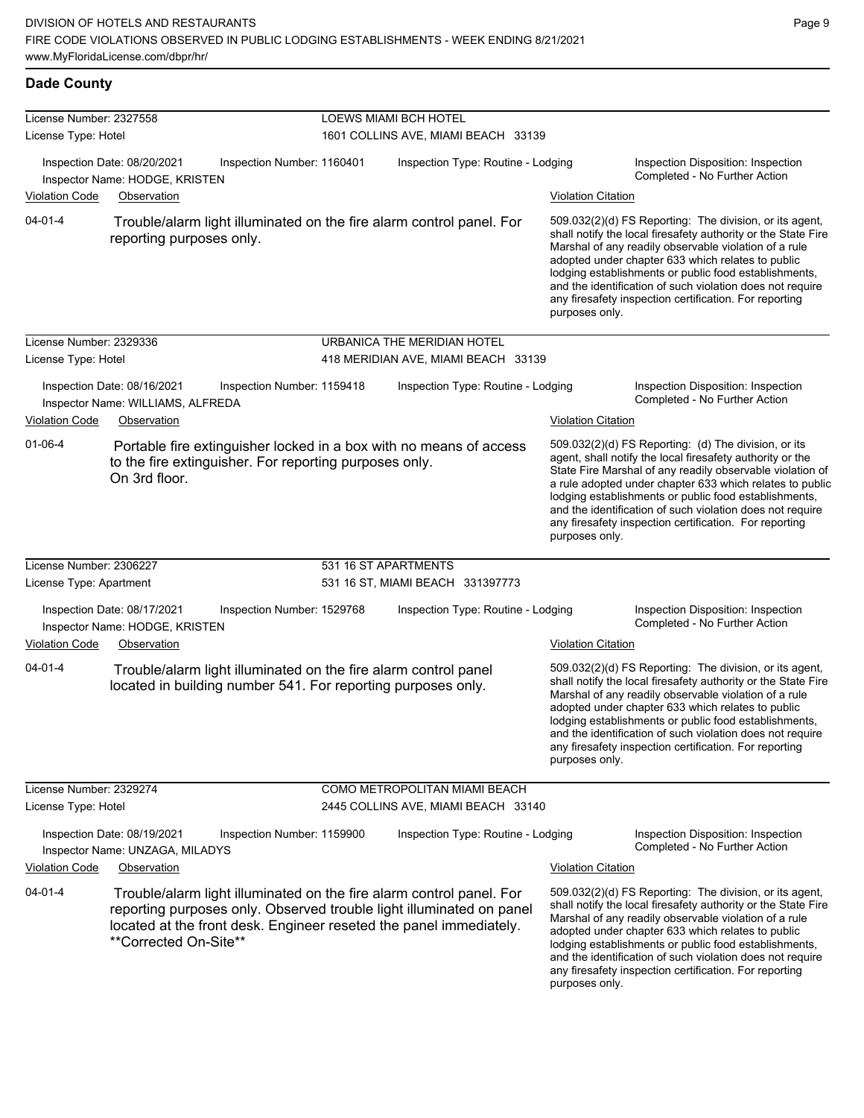#### **Dade County**

| License Number: 2327558 |                                                                  |                                                                                                                                                                                                                    | LOEWS MIAMI BCH HOTEL               |                           |                                                                                                                                                                                                                                                                                                                                                                                                                            |  |  |
|-------------------------|------------------------------------------------------------------|--------------------------------------------------------------------------------------------------------------------------------------------------------------------------------------------------------------------|-------------------------------------|---------------------------|----------------------------------------------------------------------------------------------------------------------------------------------------------------------------------------------------------------------------------------------------------------------------------------------------------------------------------------------------------------------------------------------------------------------------|--|--|
| License Type: Hotel     |                                                                  |                                                                                                                                                                                                                    | 1601 COLLINS AVE, MIAMI BEACH 33139 |                           |                                                                                                                                                                                                                                                                                                                                                                                                                            |  |  |
|                         | Inspection Date: 08/20/2021<br>Inspector Name: HODGE, KRISTEN    | Inspection Number: 1160401                                                                                                                                                                                         | Inspection Type: Routine - Lodging  |                           | Inspection Disposition: Inspection<br>Completed - No Further Action                                                                                                                                                                                                                                                                                                                                                        |  |  |
| <b>Violation Code</b>   | Observation                                                      |                                                                                                                                                                                                                    |                                     | <b>Violation Citation</b> |                                                                                                                                                                                                                                                                                                                                                                                                                            |  |  |
| $04 - 01 - 4$           | reporting purposes only.                                         | Trouble/alarm light illuminated on the fire alarm control panel. For                                                                                                                                               |                                     | purposes only.            | 509.032(2)(d) FS Reporting: The division, or its agent,<br>shall notify the local firesafety authority or the State Fire<br>Marshal of any readily observable violation of a rule<br>adopted under chapter 633 which relates to public<br>lodging establishments or public food establishments,<br>and the identification of such violation does not require<br>any firesafety inspection certification. For reporting     |  |  |
| License Number: 2329336 |                                                                  |                                                                                                                                                                                                                    | URBANICA THE MERIDIAN HOTEL         |                           |                                                                                                                                                                                                                                                                                                                                                                                                                            |  |  |
| License Type: Hotel     |                                                                  |                                                                                                                                                                                                                    | 418 MERIDIAN AVE, MIAMI BEACH 33139 |                           |                                                                                                                                                                                                                                                                                                                                                                                                                            |  |  |
|                         | Inspection Date: 08/16/2021<br>Inspector Name: WILLIAMS, ALFREDA | Inspection Number: 1159418                                                                                                                                                                                         | Inspection Type: Routine - Lodging  |                           | Inspection Disposition: Inspection<br>Completed - No Further Action                                                                                                                                                                                                                                                                                                                                                        |  |  |
| <b>Violation Code</b>   | Observation                                                      |                                                                                                                                                                                                                    |                                     | <b>Violation Citation</b> |                                                                                                                                                                                                                                                                                                                                                                                                                            |  |  |
| $01 - 06 - 4$           | On 3rd floor.                                                    | Portable fire extinguisher locked in a box with no means of access<br>to the fire extinguisher. For reporting purposes only.                                                                                       |                                     | purposes only.            | 509.032(2)(d) FS Reporting: (d) The division, or its<br>agent, shall notify the local firesafety authority or the<br>State Fire Marshal of any readily observable violation of<br>a rule adopted under chapter 633 which relates to public<br>lodging establishments or public food establishments,<br>and the identification of such violation does not require<br>any firesafety inspection certification. For reporting |  |  |
| License Number: 2306227 |                                                                  |                                                                                                                                                                                                                    | 531 16 ST APARTMENTS                |                           |                                                                                                                                                                                                                                                                                                                                                                                                                            |  |  |
| License Type: Apartment |                                                                  |                                                                                                                                                                                                                    | 531 16 ST, MIAMI BEACH 331397773    |                           |                                                                                                                                                                                                                                                                                                                                                                                                                            |  |  |
|                         | Inspection Date: 08/17/2021<br>Inspector Name: HODGE, KRISTEN    | Inspection Number: 1529768                                                                                                                                                                                         | Inspection Type: Routine - Lodging  |                           | Inspection Disposition: Inspection<br>Completed - No Further Action                                                                                                                                                                                                                                                                                                                                                        |  |  |
| <b>Violation Code</b>   | Observation                                                      |                                                                                                                                                                                                                    |                                     | <b>Violation Citation</b> |                                                                                                                                                                                                                                                                                                                                                                                                                            |  |  |
| 04-01-4                 |                                                                  | Trouble/alarm light illuminated on the fire alarm control panel<br>located in building number 541. For reporting purposes only.                                                                                    |                                     | purposes only.            | 509.032(2)(d) FS Reporting: The division, or its agent,<br>shall notify the local firesafety authority or the State Fire<br>Marshal of any readily observable violation of a rule<br>adopted under chapter 633 which relates to public<br>lodging establishments or public food establishments,<br>and the identification of such violation does not require<br>any firesafety inspection certification. For reporting     |  |  |
| License Number: 2329274 |                                                                  |                                                                                                                                                                                                                    | COMO METROPOLITAN MIAMI BEACH       |                           |                                                                                                                                                                                                                                                                                                                                                                                                                            |  |  |
| License Type: Hotel     |                                                                  |                                                                                                                                                                                                                    | 2445 COLLINS AVE, MIAMI BEACH 33140 |                           |                                                                                                                                                                                                                                                                                                                                                                                                                            |  |  |
|                         | Inspection Date: 08/19/2021<br>Inspector Name: UNZAGA, MILADYS   | Inspection Number: 1159900                                                                                                                                                                                         | Inspection Type: Routine - Lodging  |                           | Inspection Disposition: Inspection<br>Completed - No Further Action                                                                                                                                                                                                                                                                                                                                                        |  |  |
| <b>Violation Code</b>   | Observation                                                      |                                                                                                                                                                                                                    |                                     | <b>Violation Citation</b> |                                                                                                                                                                                                                                                                                                                                                                                                                            |  |  |
| $04 - 01 - 4$           | **Corrected On-Site**                                            | Trouble/alarm light illuminated on the fire alarm control panel. For<br>reporting purposes only. Observed trouble light illuminated on panel<br>located at the front desk. Engineer reseted the panel immediately. |                                     | purposes only.            | 509.032(2)(d) FS Reporting: The division, or its agent,<br>shall notify the local firesafety authority or the State Fire<br>Marshal of any readily observable violation of a rule<br>adopted under chapter 633 which relates to public<br>lodging establishments or public food establishments,<br>and the identification of such violation does not require<br>any firesafety inspection certification. For reporting     |  |  |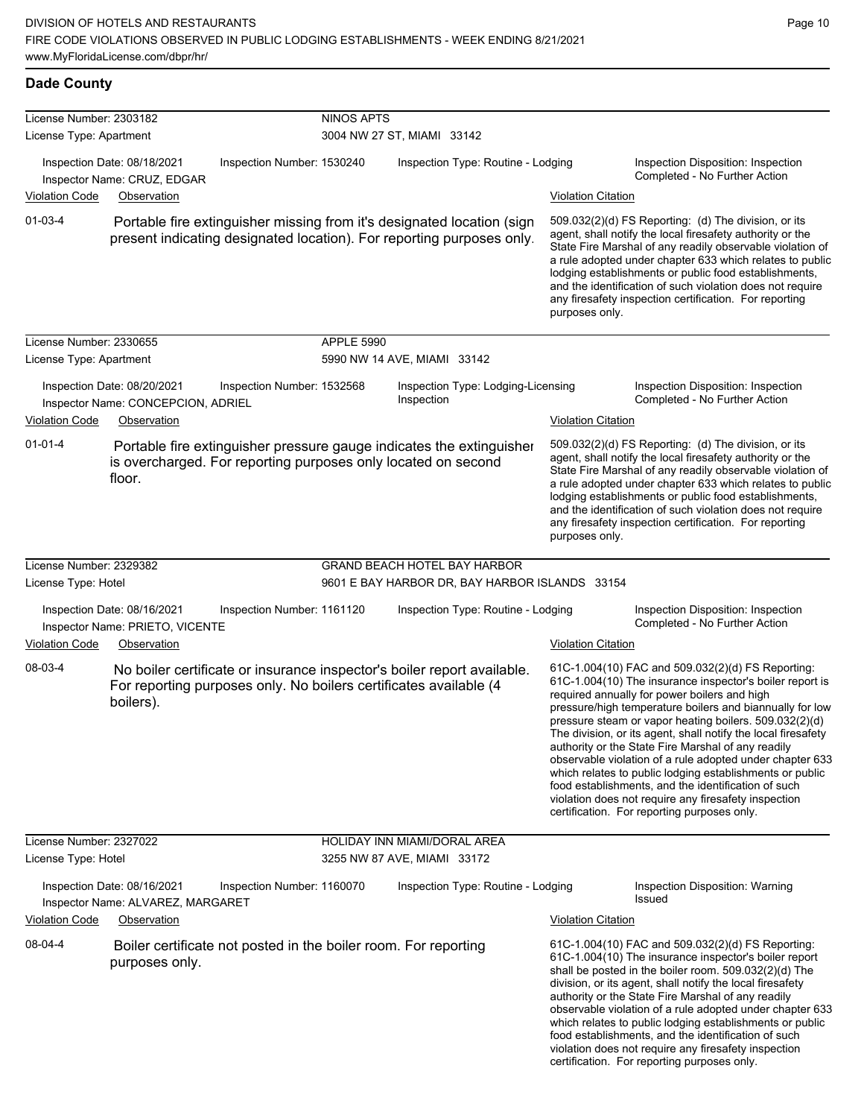| <b>Dade County</b>                                 |                                                                   |                                                                   |                                                                                                                                                 |                           |                                                                                                                                                                                                                                                                                                                                                                                                                                                                                                                                                                                                                                                                                                  |
|----------------------------------------------------|-------------------------------------------------------------------|-------------------------------------------------------------------|-------------------------------------------------------------------------------------------------------------------------------------------------|---------------------------|--------------------------------------------------------------------------------------------------------------------------------------------------------------------------------------------------------------------------------------------------------------------------------------------------------------------------------------------------------------------------------------------------------------------------------------------------------------------------------------------------------------------------------------------------------------------------------------------------------------------------------------------------------------------------------------------------|
| License Number: 2303182<br>License Type: Apartment |                                                                   | <b>NINOS APTS</b>                                                 | 3004 NW 27 ST, MIAMI 33142                                                                                                                      |                           |                                                                                                                                                                                                                                                                                                                                                                                                                                                                                                                                                                                                                                                                                                  |
|                                                    | Inspection Date: 08/18/2021<br>Inspector Name: CRUZ, EDGAR        | Inspection Number: 1530240                                        | Inspection Type: Routine - Lodging                                                                                                              |                           | Inspection Disposition: Inspection<br>Completed - No Further Action                                                                                                                                                                                                                                                                                                                                                                                                                                                                                                                                                                                                                              |
| <b>Violation Code</b>                              | Observation                                                       |                                                                   |                                                                                                                                                 | <b>Violation Citation</b> |                                                                                                                                                                                                                                                                                                                                                                                                                                                                                                                                                                                                                                                                                                  |
| $01 - 03 - 4$                                      |                                                                   |                                                                   | Portable fire extinguisher missing from it's designated location (sign<br>present indicating designated location). For reporting purposes only. | purposes only.            | 509.032(2)(d) FS Reporting: (d) The division, or its<br>agent, shall notify the local firesafety authority or the<br>State Fire Marshal of any readily observable violation of<br>a rule adopted under chapter 633 which relates to public<br>lodging establishments or public food establishments,<br>and the identification of such violation does not require<br>any firesafety inspection certification. For reporting                                                                                                                                                                                                                                                                       |
| License Number: 2330655<br>License Type: Apartment |                                                                   | <b>APPLE 5990</b>                                                 | 5990 NW 14 AVE, MIAMI 33142                                                                                                                     |                           |                                                                                                                                                                                                                                                                                                                                                                                                                                                                                                                                                                                                                                                                                                  |
|                                                    | Inspection Date: 08/20/2021<br>Inspector Name: CONCEPCION, ADRIEL | Inspection Number: 1532568                                        | Inspection Type: Lodging-Licensing<br>Inspection                                                                                                |                           | Inspection Disposition: Inspection<br>Completed - No Further Action                                                                                                                                                                                                                                                                                                                                                                                                                                                                                                                                                                                                                              |
| <b>Violation Code</b>                              | Observation                                                       |                                                                   |                                                                                                                                                 | <b>Violation Citation</b> |                                                                                                                                                                                                                                                                                                                                                                                                                                                                                                                                                                                                                                                                                                  |
| $01 - 01 - 4$                                      | floor.                                                            | is overcharged. For reporting purposes only located on second     | Portable fire extinguisher pressure gauge indicates the extinguisher                                                                            | purposes only.            | 509.032(2)(d) FS Reporting: (d) The division, or its<br>agent, shall notify the local firesafety authority or the<br>State Fire Marshal of any readily observable violation of<br>a rule adopted under chapter 633 which relates to public<br>lodging establishments or public food establishments,<br>and the identification of such violation does not require<br>any firesafety inspection certification. For reporting                                                                                                                                                                                                                                                                       |
| License Number: 2329382                            |                                                                   |                                                                   | <b>GRAND BEACH HOTEL BAY HARBOR</b>                                                                                                             |                           |                                                                                                                                                                                                                                                                                                                                                                                                                                                                                                                                                                                                                                                                                                  |
| License Type: Hotel                                |                                                                   |                                                                   | 9601 E BAY HARBOR DR, BAY HARBOR ISLANDS 33154                                                                                                  |                           |                                                                                                                                                                                                                                                                                                                                                                                                                                                                                                                                                                                                                                                                                                  |
|                                                    | Inspection Date: 08/16/2021<br>Inspector Name: PRIETO, VICENTE    | Inspection Number: 1161120                                        | Inspection Type: Routine - Lodging                                                                                                              |                           | Inspection Disposition: Inspection<br>Completed - No Further Action                                                                                                                                                                                                                                                                                                                                                                                                                                                                                                                                                                                                                              |
| <b>Violation Code</b>                              | Observation                                                       |                                                                   |                                                                                                                                                 | <b>Violation Citation</b> |                                                                                                                                                                                                                                                                                                                                                                                                                                                                                                                                                                                                                                                                                                  |
| 08-03-4                                            | boilers).                                                         | For reporting purposes only. No boilers certificates available (4 | No boiler certificate or insurance inspector's boiler report available.                                                                         |                           | 61C-1.004(10) FAC and 509.032(2)(d) FS Reporting:<br>61C-1.004(10) The insurance inspector's boiler report is<br>required annually for power boilers and high<br>pressure/high temperature boilers and biannually for low<br>pressure steam or vapor heating boilers. 509.032(2)(d)<br>The division, or its agent, shall notify the local firesafety<br>authority or the State Fire Marshal of any readily<br>observable violation of a rule adopted under chapter 633<br>which relates to public lodging establishments or public<br>food establishments, and the identification of such<br>violation does not require any firesafety inspection<br>certification. For reporting purposes only. |
| License Number: 2327022<br>License Type: Hotel     |                                                                   |                                                                   | HOLIDAY INN MIAMI/DORAL AREA<br>3255 NW 87 AVE, MIAMI 33172                                                                                     |                           |                                                                                                                                                                                                                                                                                                                                                                                                                                                                                                                                                                                                                                                                                                  |
|                                                    | Inspection Date: 08/16/2021<br>Inspector Name: ALVAREZ, MARGARET  | Inspection Number: 1160070                                        | Inspection Type: Routine - Lodging                                                                                                              |                           | Inspection Disposition: Warning<br>Issued                                                                                                                                                                                                                                                                                                                                                                                                                                                                                                                                                                                                                                                        |
| <b>Violation Code</b>                              | Observation                                                       |                                                                   |                                                                                                                                                 | <b>Violation Citation</b> |                                                                                                                                                                                                                                                                                                                                                                                                                                                                                                                                                                                                                                                                                                  |
| 08-04-4                                            | purposes only.                                                    | Boiler certificate not posted in the boiler room. For reporting   |                                                                                                                                                 |                           | 61C-1.004(10) FAC and 509.032(2)(d) FS Reporting:<br>61C-1.004(10) The insurance inspector's boiler report<br>shall be posted in the boiler room. 509.032(2)(d) The<br>division, or its agent, shall notify the local firesafety<br>authority or the State Fire Marshal of any readily<br>observable violation of a rule adopted under chapter 633<br>which relates to public lodging establishments or public<br>food establishments, and the identification of such<br>violation does not require any firesafety inspection<br>certification. For reporting purposes only.                                                                                                                     |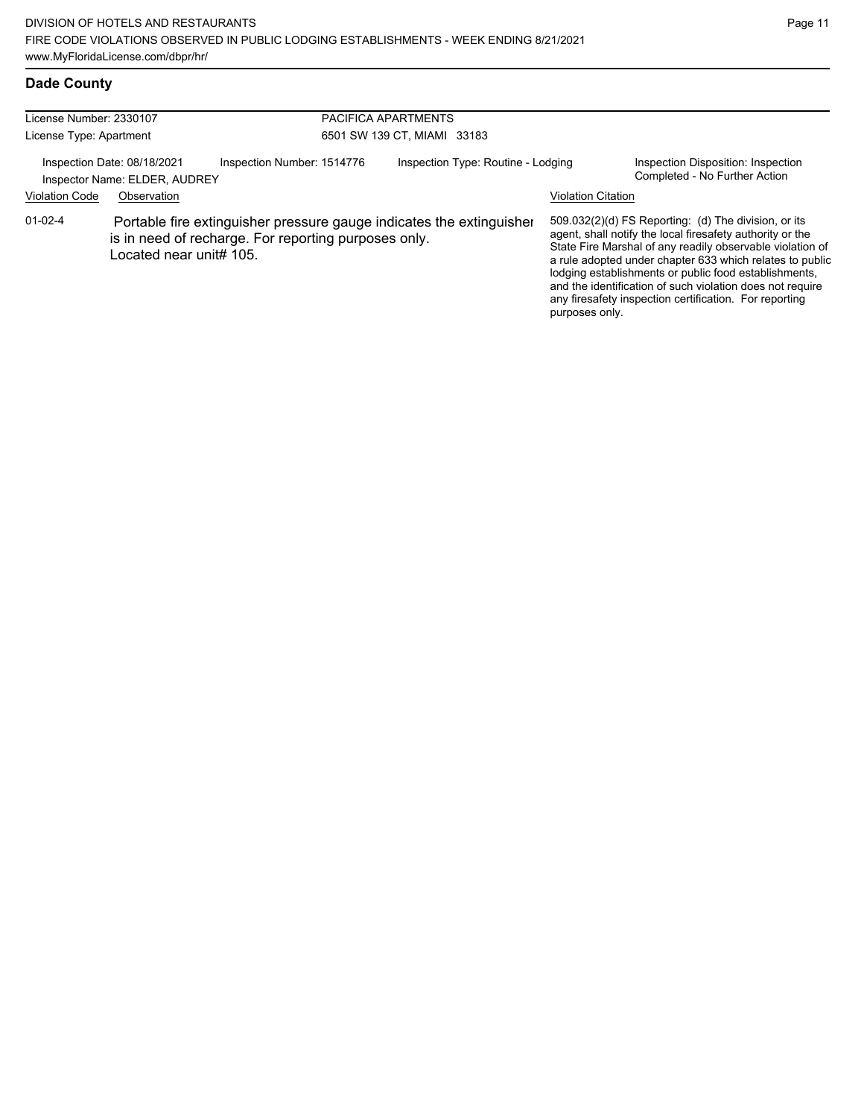## **Dade County**

| License Number: 2330107 |                                                              |                                                                                                                              | PACIFICA APARTMENTS                |                           |                                                                                                                                                                                                                                                                                                                                                                                                                            |  |  |
|-------------------------|--------------------------------------------------------------|------------------------------------------------------------------------------------------------------------------------------|------------------------------------|---------------------------|----------------------------------------------------------------------------------------------------------------------------------------------------------------------------------------------------------------------------------------------------------------------------------------------------------------------------------------------------------------------------------------------------------------------------|--|--|
| License Type: Apartment |                                                              |                                                                                                                              | 6501 SW 139 CT, MIAMI 33183        |                           |                                                                                                                                                                                                                                                                                                                                                                                                                            |  |  |
|                         | Inspection Date: 08/18/2021<br>Inspector Name: ELDER, AUDREY | Inspection Number: 1514776                                                                                                   | Inspection Type: Routine - Lodging |                           | Inspection Disposition: Inspection<br>Completed - No Further Action                                                                                                                                                                                                                                                                                                                                                        |  |  |
| <b>Violation Code</b>   | Observation                                                  |                                                                                                                              |                                    | <b>Violation Citation</b> |                                                                                                                                                                                                                                                                                                                                                                                                                            |  |  |
| 01-02-4                 | Located near unit# 105.                                      | Portable fire extinguisher pressure gauge indicates the extinguisher<br>is in need of recharge. For reporting purposes only. |                                    | purposes only.            | 509.032(2)(d) FS Reporting: (d) The division, or its<br>agent, shall notify the local firesafety authority or the<br>State Fire Marshal of any readily observable violation of<br>a rule adopted under chapter 633 which relates to public<br>lodging establishments or public food establishments,<br>and the identification of such violation does not require<br>any firesafety inspection certification. For reporting |  |  |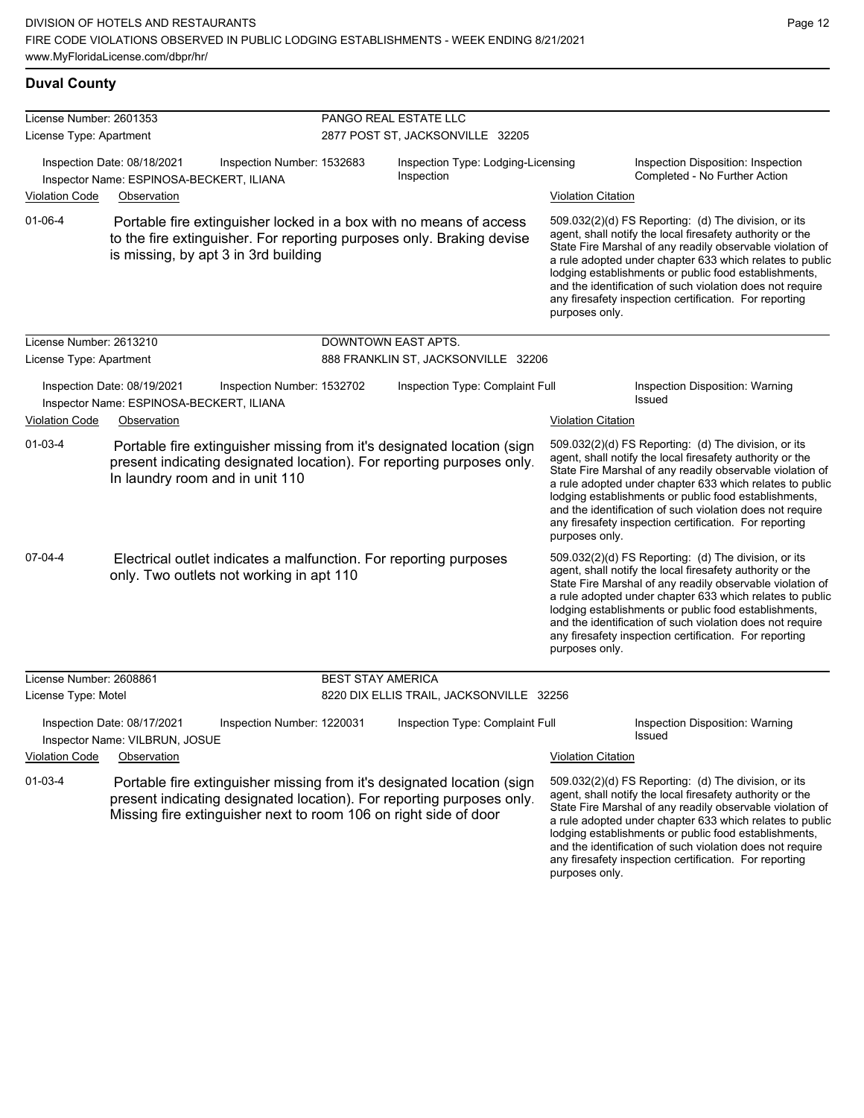**Duval County**

#### License Number: 2601353 License Type: Apartment PANGO REAL ESTATE LLC 2877 POST ST, JACKSONVILLE 32205 Inspection Date: 08/18/2021 Inspection Number: 1532683 Inspection Type: Lodging-Licensing Inspection Inspection Disposition: Inspection Inspector Name: ESPINOSA-BECKERT, ILIANA **Inspection** Inspection **Inspection** Completed - No Further Action Violation Code Observation Violation Citation 509.032(2)(d) FS Reporting: (d) The division, or its agent, shall notify the local firesafety authority or the State Fire Marshal of any readily observable violation of a rule adopted under chapter 633 which relates to public lodging establishments or public food establishments, and the identification of such violation does not require any firesafety inspection certification. For reporting purposes only. 01-06-4 Portable fire extinguisher locked in a box with no means of access to the fire extinguisher. For reporting purposes only. Braking devise is missing, by apt 3 in 3rd building License Number: 2613210 License Type: Apartment DOWNTOWN EAST APTS. 888 FRANKLIN ST, JACKSONVILLE 32206 Inspection Date: 08/19/2021 Inspection Number: 1532702 Inspection Type: Complaint Full Inspection Disposition: Warning Inspector Name: ESPINOSA-BECKERT, ILIANA Violation Code Observation **Violation Citation** Violation Citation Citation 509.032(2)(d) FS Reporting: (d) The division, or its agent, shall notify the local firesafety authority or the State Fire Marshal of any readily observable violation of a rule adopted under chapter 633 which relates to public lodging establishments or public food establishments, and the identification of such violation does not require any firesafety inspection certification. For reporting purposes only. 01-03-4 Portable fire extinguisher missing from it's designated location (sign present indicating designated location). For reporting purposes only. In laundry room and in unit 110 509.032(2)(d) FS Reporting: (d) The division, or its agent, shall notify the local firesafety authority or the State Fire Marshal of any readily observable violation of a rule adopted under chapter 633 which relates to public lodging establishments or public food establishments, and the identification of such violation does not require any firesafety inspection certification. For reporting purposes only. 07-04-4 Electrical outlet indicates a malfunction. For reporting purposes only. Two outlets not working in apt 110 License Number: 2608861 License Type: Motel BEST STAY AMERICA 8220 DIX ELLIS TRAIL, JACKSONVILLE 32256 Inspection Date: 08/17/2021 Inspection Number: 1220031 Inspection Type: Complaint Full Inspection Disposition: Warning Issued Inspector Name: VILBRUN, JOSUE Violation Code Observation Violation Citation 509.032(2)(d) FS Reporting: (d) The division, or its agent, shall notify the local firesafety authority or the State Fire Marshal of any readily observable violation of a rule adopted under chapter 633 which relates to public lodging establishments or public food establishments, and the identification of such violation does not require 01-03-4 Portable fire extinguisher missing from it's designated location (sign present indicating designated location). For reporting purposes only. Missing fire extinguisher next to room 106 on right side of door

any firesafety inspection certification. For reporting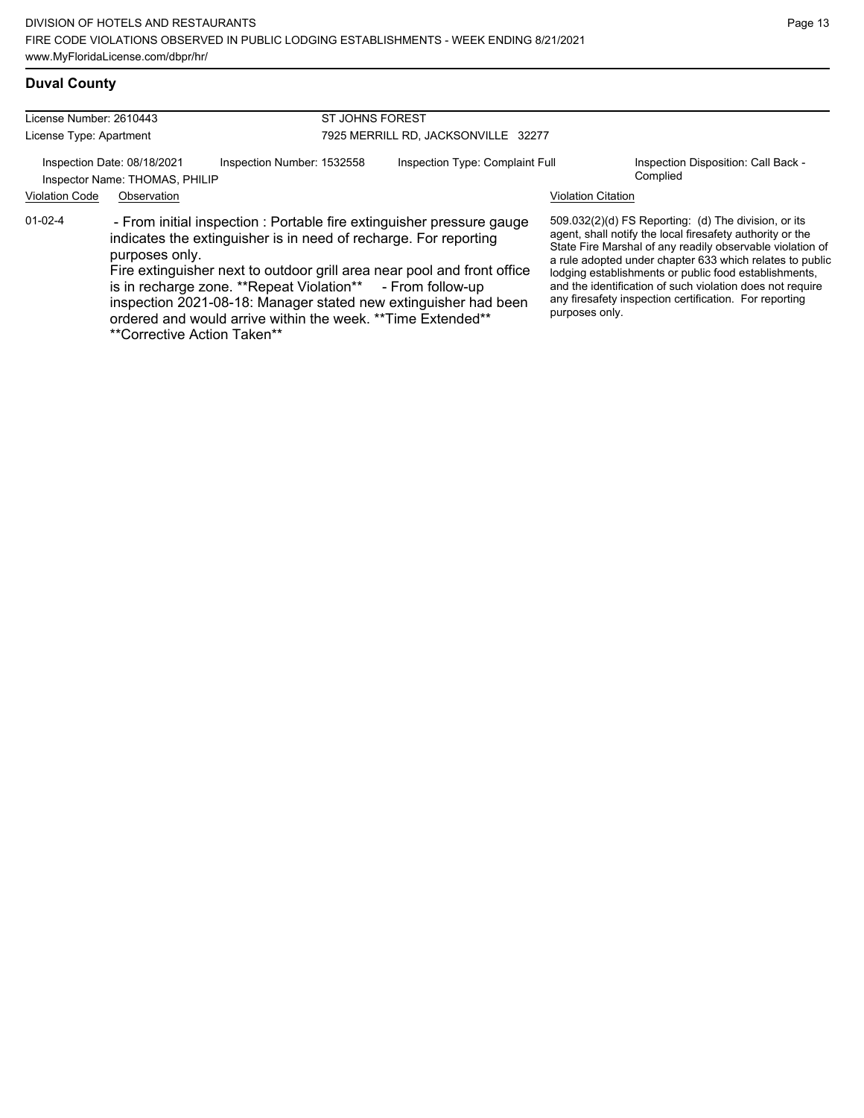## **Duval County**

| License Number: 2610443 |                                                               | ST JOHNS FOREST                                            |                                     |                                                                                                                                                                                                                                                                                                                                                         |                           |                                                                                                                                                                                                                                                                                                                                                                                                                            |
|-------------------------|---------------------------------------------------------------|------------------------------------------------------------|-------------------------------------|---------------------------------------------------------------------------------------------------------------------------------------------------------------------------------------------------------------------------------------------------------------------------------------------------------------------------------------------------------|---------------------------|----------------------------------------------------------------------------------------------------------------------------------------------------------------------------------------------------------------------------------------------------------------------------------------------------------------------------------------------------------------------------------------------------------------------------|
| License Type: Apartment |                                                               |                                                            | 7925 MERRILL RD, JACKSONVILLE 32277 |                                                                                                                                                                                                                                                                                                                                                         |                           |                                                                                                                                                                                                                                                                                                                                                                                                                            |
|                         | Inspection Date: 08/18/2021<br>Inspector Name: THOMAS, PHILIP | Inspection Number: 1532558                                 |                                     | Inspection Type: Complaint Full                                                                                                                                                                                                                                                                                                                         |                           | Inspection Disposition: Call Back -<br>Complied                                                                                                                                                                                                                                                                                                                                                                            |
| <b>Violation Code</b>   | Observation                                                   |                                                            |                                     |                                                                                                                                                                                                                                                                                                                                                         | <b>Violation Citation</b> |                                                                                                                                                                                                                                                                                                                                                                                                                            |
| $01 - 02 - 4$           | purposes only.<br>**Corrective Action Taken**                 | is in recharge zone. **Repeat Violation** - From follow-up |                                     | - From initial inspection : Portable fire extinguisher pressure gauge<br>indicates the extinguisher is in need of recharge. For reporting<br>Fire extinguisher next to outdoor grill area near pool and front office<br>inspection 2021-08-18: Manager stated new extinguisher had been<br>ordered and would arrive within the week. ** Time Extended** | purposes only.            | 509.032(2)(d) FS Reporting: (d) The division, or its<br>agent, shall notify the local firesafety authority or the<br>State Fire Marshal of any readily observable violation of<br>a rule adopted under chapter 633 which relates to public<br>lodging establishments or public food establishments,<br>and the identification of such violation does not require<br>any firesafety inspection certification. For reporting |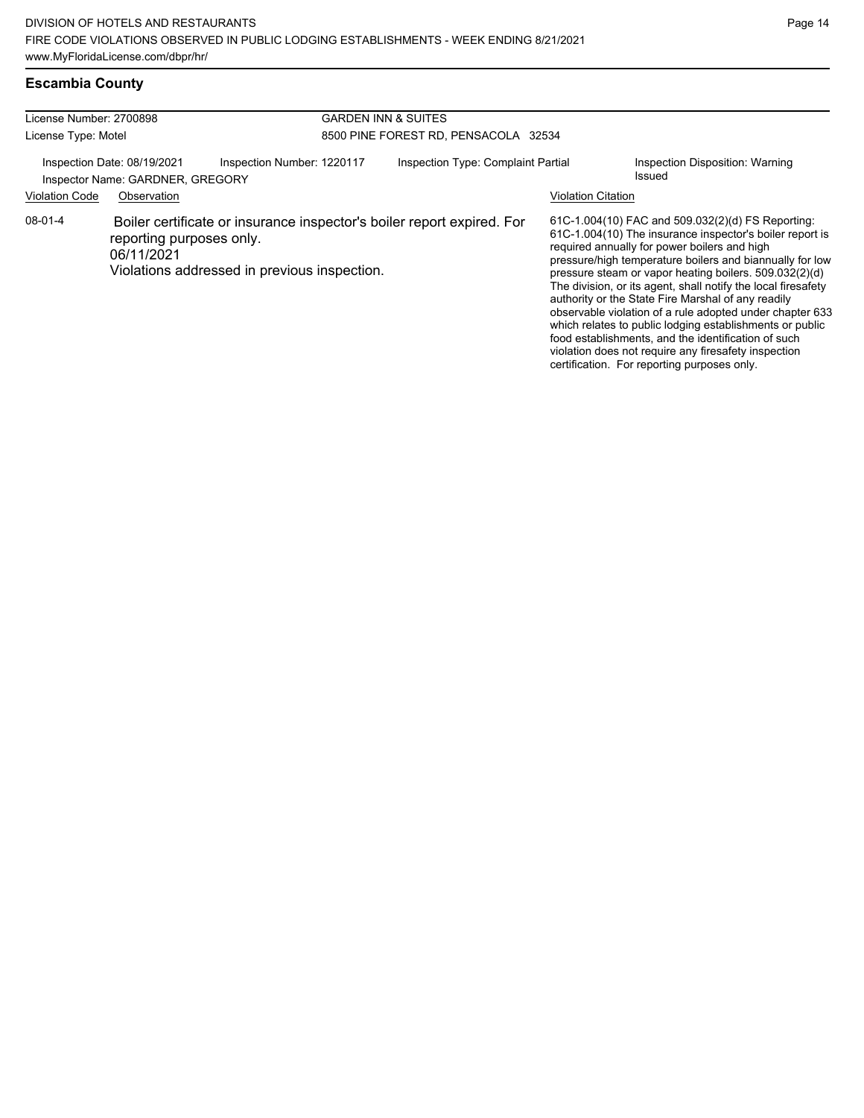# **Escambia County**

| License Number: 2700898<br>License Type: Motel                                                          |                                        |                                                                                                                        | <b>GARDEN INN &amp; SUITES</b><br>8500 PINE FOREST RD, PENSACOLA 32534    |  |                                                                                                                                                                                                                                                                                                                                                                                                                                                                                                                                                                                                                                                                                                  |  |
|---------------------------------------------------------------------------------------------------------|----------------------------------------|------------------------------------------------------------------------------------------------------------------------|---------------------------------------------------------------------------|--|--------------------------------------------------------------------------------------------------------------------------------------------------------------------------------------------------------------------------------------------------------------------------------------------------------------------------------------------------------------------------------------------------------------------------------------------------------------------------------------------------------------------------------------------------------------------------------------------------------------------------------------------------------------------------------------------------|--|
| Inspection Date: 08/19/2021<br>Inspector Name: GARDNER, GREGORY<br><b>Violation Code</b><br>Observation |                                        | Inspection Number: 1220117                                                                                             | Inspection Type: Complaint Partial<br>Issued<br><b>Violation Citation</b> |  | Inspection Disposition: Warning                                                                                                                                                                                                                                                                                                                                                                                                                                                                                                                                                                                                                                                                  |  |
| 08-01-4                                                                                                 | reporting purposes only.<br>06/11/2021 | Boiler certificate or insurance inspector's boiler report expired. For<br>Violations addressed in previous inspection. |                                                                           |  | 61C-1.004(10) FAC and 509.032(2)(d) FS Reporting:<br>61C-1.004(10) The insurance inspector's boiler report is<br>required annually for power boilers and high<br>pressure/high temperature boilers and biannually for low<br>pressure steam or vapor heating boilers. 509.032(2)(d)<br>The division, or its agent, shall notify the local firesafety<br>authority or the State Fire Marshal of any readily<br>observable violation of a rule adopted under chapter 633<br>which relates to public lodging establishments or public<br>food establishments, and the identification of such<br>violation does not require any firesafety inspection<br>certification. For reporting purposes only. |  |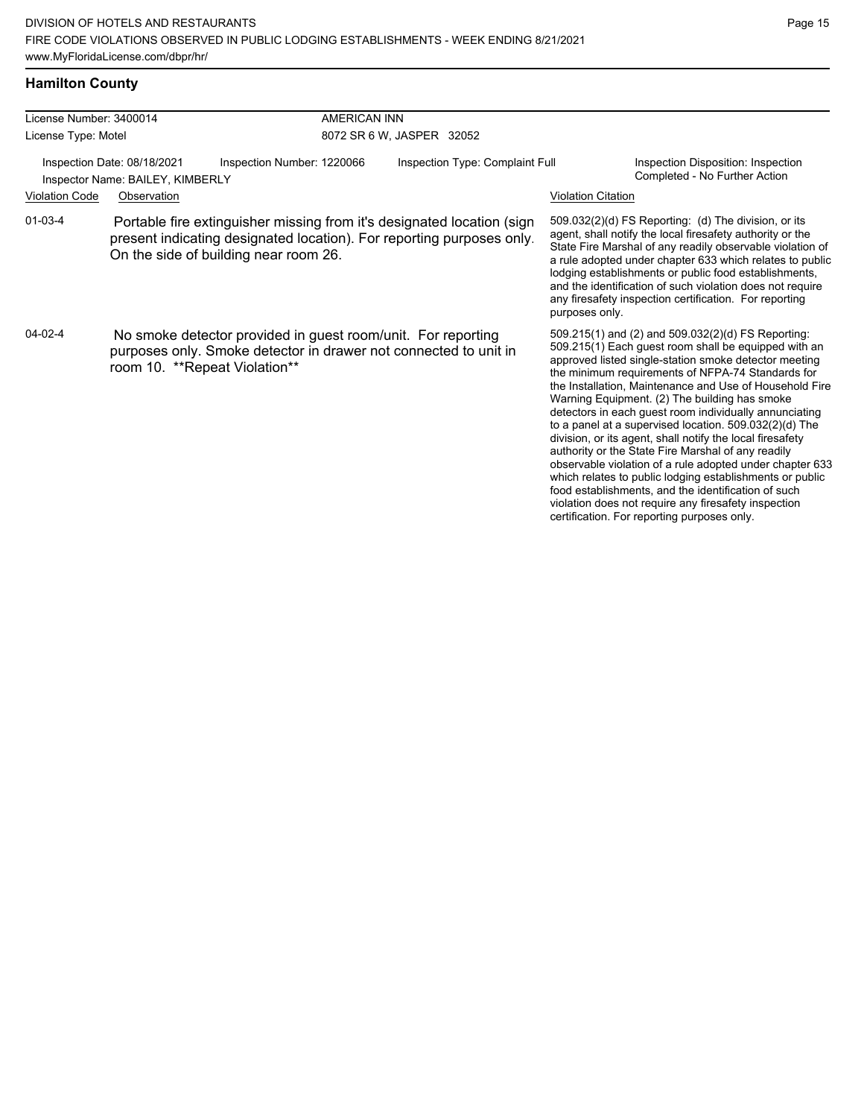## **Hamilton County**

| License Number: 3400014 |                                                                 | <b>AMERICAN INN</b>                                                                                                                                                                      |                                 |                                                                                                                                                                                                                                                                                                                                                                                                                                                                                                                                                                                                                                                                                                                                                                                                                                                                   |
|-------------------------|-----------------------------------------------------------------|------------------------------------------------------------------------------------------------------------------------------------------------------------------------------------------|---------------------------------|-------------------------------------------------------------------------------------------------------------------------------------------------------------------------------------------------------------------------------------------------------------------------------------------------------------------------------------------------------------------------------------------------------------------------------------------------------------------------------------------------------------------------------------------------------------------------------------------------------------------------------------------------------------------------------------------------------------------------------------------------------------------------------------------------------------------------------------------------------------------|
| License Type: Motel     |                                                                 |                                                                                                                                                                                          | 8072 SR 6 W, JASPER 32052       |                                                                                                                                                                                                                                                                                                                                                                                                                                                                                                                                                                                                                                                                                                                                                                                                                                                                   |
|                         | Inspection Date: 08/18/2021<br>Inspector Name: BAILEY, KIMBERLY | Inspection Number: 1220066                                                                                                                                                               | Inspection Type: Complaint Full | Inspection Disposition: Inspection<br>Completed - No Further Action                                                                                                                                                                                                                                                                                                                                                                                                                                                                                                                                                                                                                                                                                                                                                                                               |
| <b>Violation Code</b>   | Observation                                                     |                                                                                                                                                                                          |                                 | <b>Violation Citation</b>                                                                                                                                                                                                                                                                                                                                                                                                                                                                                                                                                                                                                                                                                                                                                                                                                                         |
| $01 - 03 - 4$           |                                                                 | Portable fire extinguisher missing from it's designated location (sign<br>present indicating designated location). For reporting purposes only.<br>On the side of building near room 26. |                                 | 509.032(2)(d) FS Reporting: (d) The division, or its<br>agent, shall notify the local firesafety authority or the<br>State Fire Marshal of any readily observable violation of<br>a rule adopted under chapter 633 which relates to public<br>lodging establishments or public food establishments,<br>and the identification of such violation does not require<br>any firesafety inspection certification. For reporting<br>purposes only.                                                                                                                                                                                                                                                                                                                                                                                                                      |
| $04 - 02 - 4$           | room 10. **Repeat Violation**                                   | No smoke detector provided in guest room/unit. For reporting<br>purposes only. Smoke detector in drawer not connected to unit in                                                         |                                 | 509.215(1) and (2) and 509.032(2)(d) FS Reporting:<br>509.215(1) Each quest room shall be equipped with an<br>approved listed single-station smoke detector meeting<br>the minimum requirements of NFPA-74 Standards for<br>the Installation, Maintenance and Use of Household Fire<br>Warning Equipment. (2) The building has smoke<br>detectors in each guest room individually annunciating<br>to a panel at a supervised location. 509.032(2)(d) The<br>division, or its agent, shall notify the local firesafety<br>authority or the State Fire Marshal of any readily<br>observable violation of a rule adopted under chapter 633<br>which relates to public lodging establishments or public<br>food establishments, and the identification of such<br>violation does not require any firesafety inspection<br>certification. For reporting purposes only. |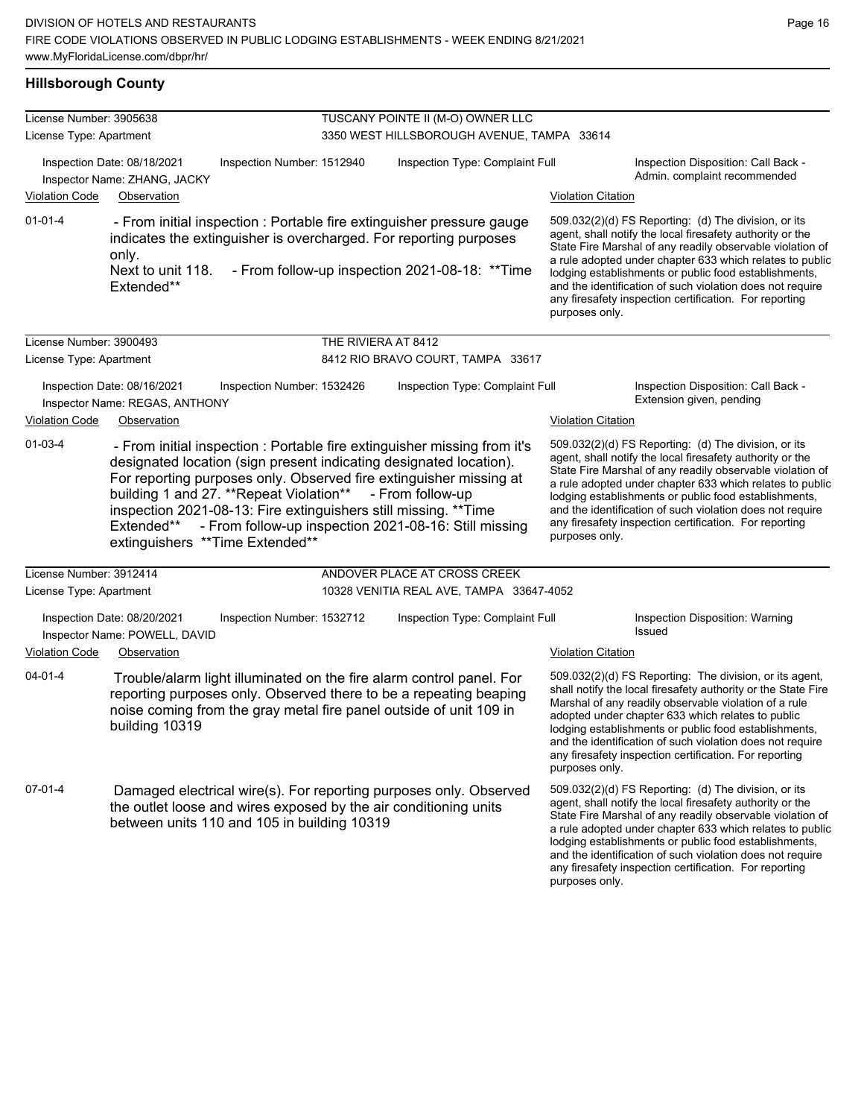## **Hillsborough County**

| License Number: 3905638 |                                                               |                                                                                                                                                                                                                                                                                                                                                                                                                                  | TUSCANY POINTE II (M-O) OWNER LLC               |                           |                                                                                                                                                                                                                                                                                                                                                                                                                            |
|-------------------------|---------------------------------------------------------------|----------------------------------------------------------------------------------------------------------------------------------------------------------------------------------------------------------------------------------------------------------------------------------------------------------------------------------------------------------------------------------------------------------------------------------|-------------------------------------------------|---------------------------|----------------------------------------------------------------------------------------------------------------------------------------------------------------------------------------------------------------------------------------------------------------------------------------------------------------------------------------------------------------------------------------------------------------------------|
| License Type: Apartment |                                                               |                                                                                                                                                                                                                                                                                                                                                                                                                                  | 3350 WEST HILLSBOROUGH AVENUE, TAMPA 33614      |                           |                                                                                                                                                                                                                                                                                                                                                                                                                            |
|                         | Inspection Date: 08/18/2021<br>Inspector Name: ZHANG, JACKY   | Inspection Number: 1512940                                                                                                                                                                                                                                                                                                                                                                                                       | Inspection Type: Complaint Full                 |                           | Inspection Disposition: Call Back -<br>Admin. complaint recommended                                                                                                                                                                                                                                                                                                                                                        |
| <b>Violation Code</b>   | Observation                                                   |                                                                                                                                                                                                                                                                                                                                                                                                                                  |                                                 | <b>Violation Citation</b> |                                                                                                                                                                                                                                                                                                                                                                                                                            |
| $01 - 01 - 4$           | only.<br>Next to unit 118.<br>Extended**                      | - From initial inspection : Portable fire extinguisher pressure gauge<br>indicates the extinguisher is overcharged. For reporting purposes                                                                                                                                                                                                                                                                                       | - From follow-up inspection 2021-08-18: ** Time | purposes only.            | 509.032(2)(d) FS Reporting: (d) The division, or its<br>agent, shall notify the local firesafety authority or the<br>State Fire Marshal of any readily observable violation of<br>a rule adopted under chapter 633 which relates to public<br>lodging establishments or public food establishments,<br>and the identification of such violation does not require<br>any firesafety inspection certification. For reporting |
| License Number: 3900493 |                                                               | THE RIVIERA AT 8412                                                                                                                                                                                                                                                                                                                                                                                                              |                                                 |                           |                                                                                                                                                                                                                                                                                                                                                                                                                            |
| License Type: Apartment |                                                               |                                                                                                                                                                                                                                                                                                                                                                                                                                  | 8412 RIO BRAVO COURT, TAMPA 33617               |                           |                                                                                                                                                                                                                                                                                                                                                                                                                            |
|                         | Inspection Date: 08/16/2021<br>Inspector Name: REGAS, ANTHONY | Inspection Number: 1532426                                                                                                                                                                                                                                                                                                                                                                                                       | Inspection Type: Complaint Full                 |                           | Inspection Disposition: Call Back -<br>Extension given, pending                                                                                                                                                                                                                                                                                                                                                            |
| Violation Code          | Observation                                                   |                                                                                                                                                                                                                                                                                                                                                                                                                                  |                                                 | <b>Violation Citation</b> |                                                                                                                                                                                                                                                                                                                                                                                                                            |
| 01-03-4                 | Extended**                                                    | - From initial inspection : Portable fire extinguisher missing from it's<br>designated location (sign present indicating designated location).<br>For reporting purposes only. Observed fire extinguisher missing at<br>building 1 and 27. **Repeat Violation**<br>inspection 2021-08-13: Fire extinguishers still missing. ** Time<br>- From follow-up inspection 2021-08-16: Still missing<br>extinguishers ** Time Extended** | - From follow-up                                | purposes only.            | 509.032(2)(d) FS Reporting: (d) The division, or its<br>agent, shall notify the local firesafety authority or the<br>State Fire Marshal of any readily observable violation of<br>a rule adopted under chapter 633 which relates to public<br>lodging establishments or public food establishments,<br>and the identification of such violation does not require<br>any firesafety inspection certification. For reporting |
| License Number: 3912414 |                                                               |                                                                                                                                                                                                                                                                                                                                                                                                                                  | ANDOVER PLACE AT CROSS CREEK                    |                           |                                                                                                                                                                                                                                                                                                                                                                                                                            |
| License Type: Apartment |                                                               |                                                                                                                                                                                                                                                                                                                                                                                                                                  | 10328 VENITIA REAL AVE, TAMPA 33647-4052        |                           |                                                                                                                                                                                                                                                                                                                                                                                                                            |
|                         | Inspection Date: 08/20/2021                                   | Inspection Number: 1532712                                                                                                                                                                                                                                                                                                                                                                                                       | Inspection Type: Complaint Full                 |                           | Inspection Disposition: Warning<br>Issued                                                                                                                                                                                                                                                                                                                                                                                  |
| <b>Violation Code</b>   | Inspector Name: POWELL, DAVID<br>Observation                  |                                                                                                                                                                                                                                                                                                                                                                                                                                  |                                                 | <b>Violation Citation</b> |                                                                                                                                                                                                                                                                                                                                                                                                                            |
| $04 - 01 - 4$           | building 10319                                                | Trouble/alarm light illuminated on the fire alarm control panel. For<br>reporting purposes only. Observed there to be a repeating beaping<br>noise coming from the gray metal fire panel outside of unit 109 in                                                                                                                                                                                                                  |                                                 | purposes only.            | 509.032(2)(d) FS Reporting: The division, or its agent,<br>shall notify the local firesafety authority or the State Fire<br>Marshal of any readily observable violation of a rule<br>adopted under chapter 633 which relates to public<br>lodging establishments or public food establishments,<br>and the identification of such violation does not require<br>any firesafety inspection certification. For reporting     |
| 07-01-4                 |                                                               | Damaged electrical wire(s). For reporting purposes only. Observed<br>the outlet loose and wires exposed by the air conditioning units<br>between units 110 and 105 in building 10319                                                                                                                                                                                                                                             |                                                 | purposes only.            | 509.032(2)(d) FS Reporting: (d) The division, or its<br>agent, shall notify the local firesafety authority or the<br>State Fire Marshal of any readily observable violation of<br>a rule adopted under chapter 633 which relates to public<br>lodging establishments or public food establishments,<br>and the identification of such violation does not require<br>any firesafety inspection certification. For reporting |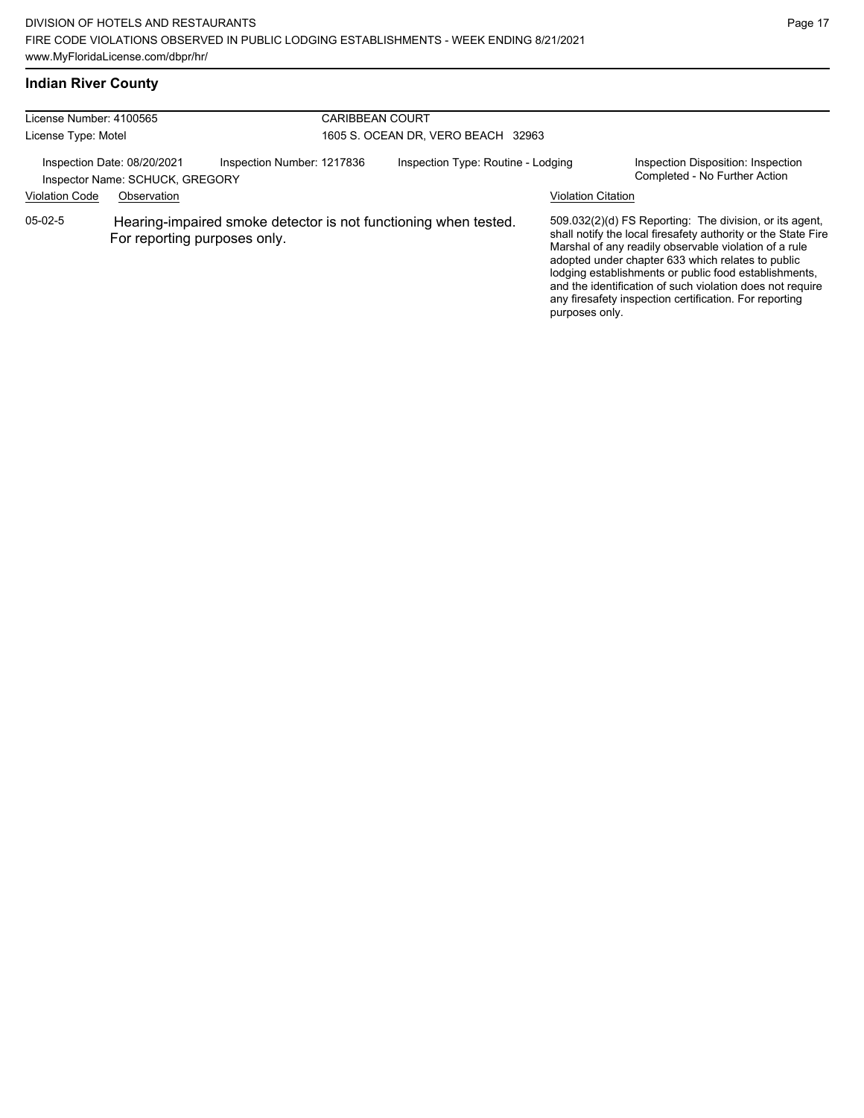## **Indian River County**

| License Number: 4100565<br>License Type: Motel |                                                                               |                                                                 | <b>CARIBBEAN COURT</b><br>1605 S. OCEAN DR, VERO BEACH 32963 |                                    |                           |                                                                                                                                                                                                                                                                                                                                                                                                                        |  |
|------------------------------------------------|-------------------------------------------------------------------------------|-----------------------------------------------------------------|--------------------------------------------------------------|------------------------------------|---------------------------|------------------------------------------------------------------------------------------------------------------------------------------------------------------------------------------------------------------------------------------------------------------------------------------------------------------------------------------------------------------------------------------------------------------------|--|
| <b>Violation Code</b>                          | Inspection Date: 08/20/2021<br>Inspector Name: SCHUCK, GREGORY<br>Observation | Inspection Number: 1217836                                      |                                                              | Inspection Type: Routine - Lodging | <b>Violation Citation</b> | Inspection Disposition: Inspection<br>Completed - No Further Action                                                                                                                                                                                                                                                                                                                                                    |  |
| $05-02-5$                                      | For reporting purposes only.                                                  | Hearing-impaired smoke detector is not functioning when tested. |                                                              |                                    | purposes only.            | 509.032(2)(d) FS Reporting. The division, or its agent,<br>shall notify the local firesafety authority or the State Fire<br>Marshal of any readily observable violation of a rule<br>adopted under chapter 633 which relates to public<br>lodging establishments or public food establishments,<br>and the identification of such violation does not require<br>any firesafety inspection certification. For reporting |  |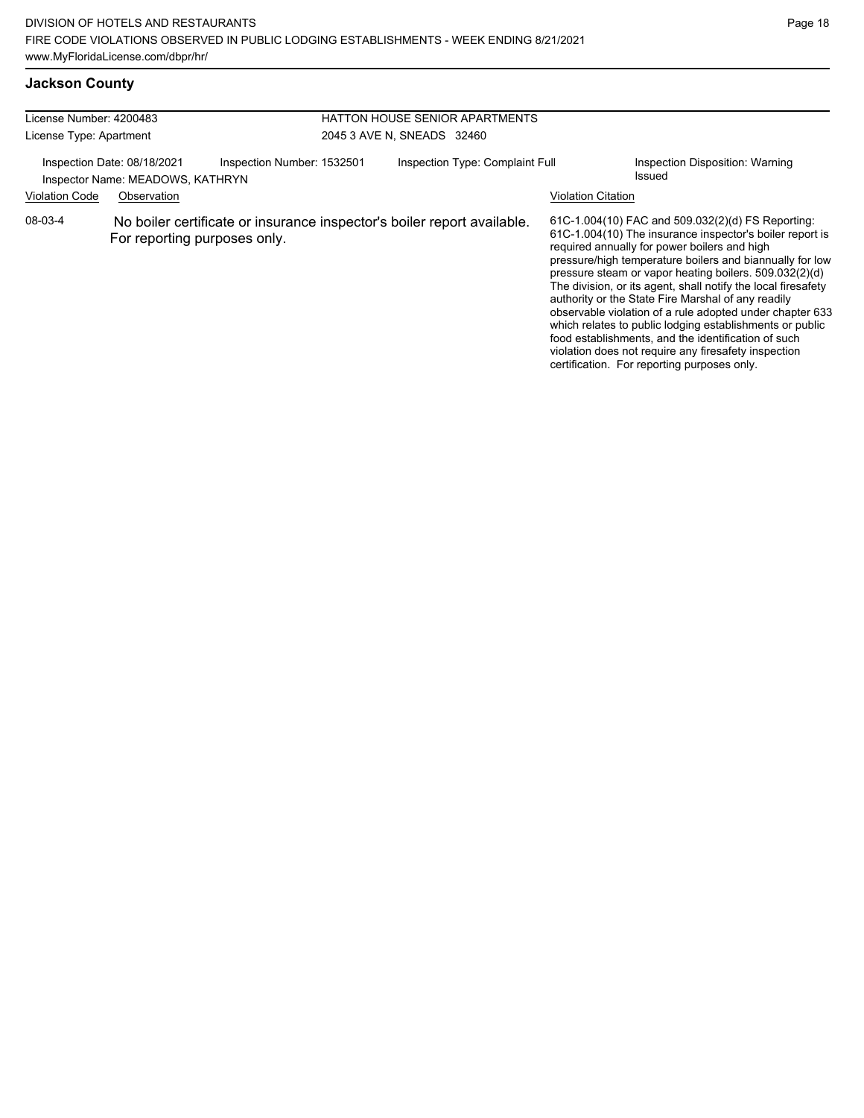### **Jackson County**

| License Number: 4200483<br>License Type: Apartment                                                                                    |                                                                                                         | <b>HATTON HOUSE SENIOR APARTMENTS</b><br>2045 3 AVE N, SNEADS 32460 |  |                                                                                                                                                                                                                                                                                                                                                                                                                                                                                                                                                                                                                                                                                                  |
|---------------------------------------------------------------------------------------------------------------------------------------|---------------------------------------------------------------------------------------------------------|---------------------------------------------------------------------|--|--------------------------------------------------------------------------------------------------------------------------------------------------------------------------------------------------------------------------------------------------------------------------------------------------------------------------------------------------------------------------------------------------------------------------------------------------------------------------------------------------------------------------------------------------------------------------------------------------------------------------------------------------------------------------------------------------|
| Inspection Date: 08/18/2021<br>Inspection Number: 1532501<br>Inspector Name: MEADOWS, KATHRYN<br><b>Violation Code</b><br>Observation |                                                                                                         | Inspection Type: Complaint Full<br>Issued<br>Violation Citation     |  | Inspection Disposition: Warning                                                                                                                                                                                                                                                                                                                                                                                                                                                                                                                                                                                                                                                                  |
| 08-03-4                                                                                                                               | No boiler certificate or insurance inspector's boiler report available.<br>For reporting purposes only. |                                                                     |  | 61C-1.004(10) FAC and 509.032(2)(d) FS Reporting:<br>61C-1.004(10) The insurance inspector's boiler report is<br>required annually for power boilers and high<br>pressure/high temperature boilers and biannually for low<br>pressure steam or vapor heating boilers. 509.032(2)(d)<br>The division, or its agent, shall notify the local firesafety<br>authority or the State Fire Marshal of any readily<br>observable violation of a rule adopted under chapter 633<br>which relates to public lodging establishments or public<br>food establishments, and the identification of such<br>violation does not require any firesafety inspection<br>certification. For reporting purposes only. |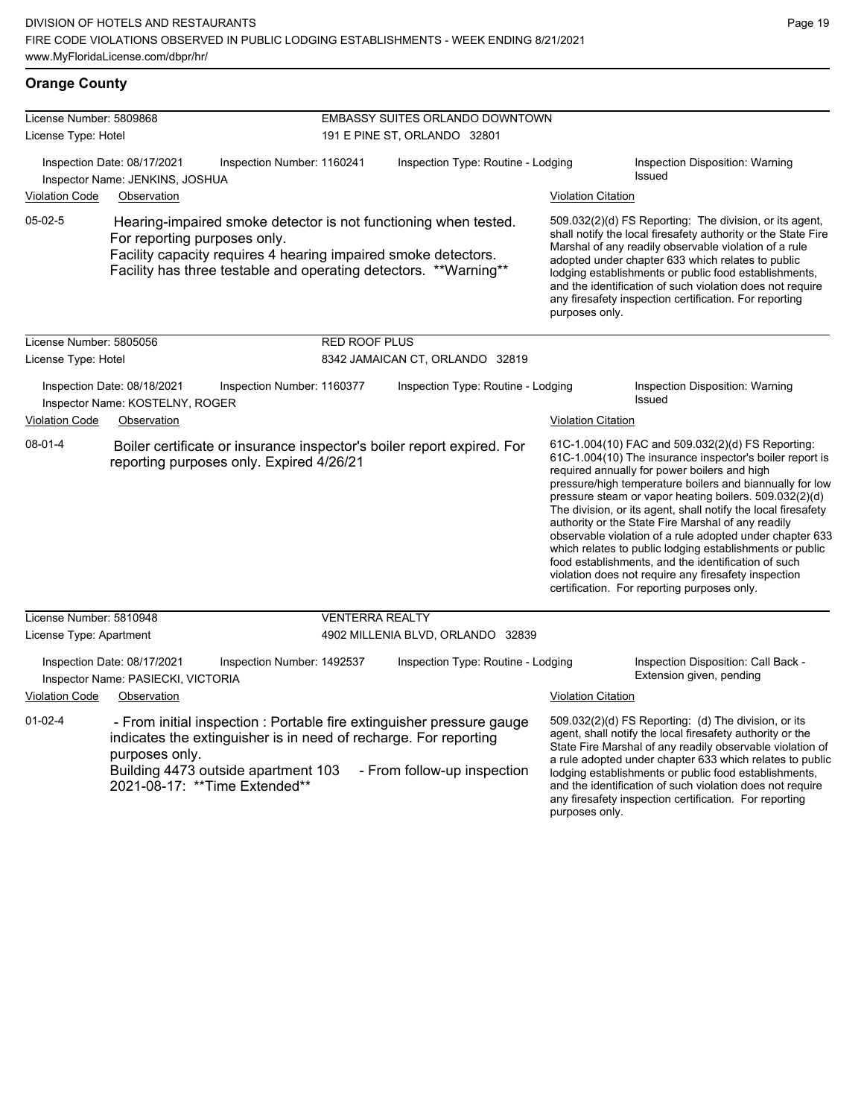| License Number: 5809868 |                                                                                  |                                                                                                                                                                                                                    | EMBASSY SUITES ORLANDO DOWNTOWN    |                           |                                                                                                                                                                                                                                                                                                                                                                                                                                                                                                                                                                                                                                                                                                  |
|-------------------------|----------------------------------------------------------------------------------|--------------------------------------------------------------------------------------------------------------------------------------------------------------------------------------------------------------------|------------------------------------|---------------------------|--------------------------------------------------------------------------------------------------------------------------------------------------------------------------------------------------------------------------------------------------------------------------------------------------------------------------------------------------------------------------------------------------------------------------------------------------------------------------------------------------------------------------------------------------------------------------------------------------------------------------------------------------------------------------------------------------|
| License Type: Hotel     |                                                                                  |                                                                                                                                                                                                                    | 191 E PINE ST, ORLANDO 32801       |                           |                                                                                                                                                                                                                                                                                                                                                                                                                                                                                                                                                                                                                                                                                                  |
|                         | Inspection Date: 08/17/2021<br>Inspector Name: JENKINS, JOSHUA                   | Inspection Number: 1160241                                                                                                                                                                                         | Inspection Type: Routine - Lodging |                           | <b>Inspection Disposition: Warning</b><br><b>Issued</b>                                                                                                                                                                                                                                                                                                                                                                                                                                                                                                                                                                                                                                          |
| Violation Code          | Observation                                                                      |                                                                                                                                                                                                                    |                                    | <b>Violation Citation</b> |                                                                                                                                                                                                                                                                                                                                                                                                                                                                                                                                                                                                                                                                                                  |
| $05-02-5$               | For reporting purposes only.                                                     | Hearing-impaired smoke detector is not functioning when tested.<br>Facility capacity requires 4 hearing impaired smoke detectors.<br>Facility has three testable and operating detectors. **Warning**              |                                    | purposes only.            | 509.032(2)(d) FS Reporting: The division, or its agent,<br>shall notify the local firesafety authority or the State Fire<br>Marshal of any readily observable violation of a rule<br>adopted under chapter 633 which relates to public<br>lodging establishments or public food establishments,<br>and the identification of such violation does not require<br>any firesafety inspection certification. For reporting                                                                                                                                                                                                                                                                           |
| License Number: 5805056 |                                                                                  | <b>RED ROOF PLUS</b>                                                                                                                                                                                               |                                    |                           |                                                                                                                                                                                                                                                                                                                                                                                                                                                                                                                                                                                                                                                                                                  |
| License Type: Hotel     |                                                                                  |                                                                                                                                                                                                                    | 8342 JAMAICAN CT, ORLANDO 32819    |                           |                                                                                                                                                                                                                                                                                                                                                                                                                                                                                                                                                                                                                                                                                                  |
|                         | Inspection Date: 08/18/2021<br>Inspector Name: KOSTELNY, ROGER                   | Inspection Number: 1160377                                                                                                                                                                                         | Inspection Type: Routine - Lodging |                           | Inspection Disposition: Warning<br>Issued                                                                                                                                                                                                                                                                                                                                                                                                                                                                                                                                                                                                                                                        |
| <b>Violation Code</b>   | Observation                                                                      |                                                                                                                                                                                                                    |                                    | <b>Violation Citation</b> |                                                                                                                                                                                                                                                                                                                                                                                                                                                                                                                                                                                                                                                                                                  |
| $08 - 01 - 4$           |                                                                                  | Boiler certificate or insurance inspector's boiler report expired. For<br>reporting purposes only. Expired 4/26/21                                                                                                 |                                    |                           | 61C-1.004(10) FAC and 509.032(2)(d) FS Reporting:<br>61C-1.004(10) The insurance inspector's boiler report is<br>required annually for power boilers and high<br>pressure/high temperature boilers and biannually for low<br>pressure steam or vapor heating boilers. 509.032(2)(d)<br>The division, or its agent, shall notify the local firesafety<br>authority or the State Fire Marshal of any readily<br>observable violation of a rule adopted under chapter 633<br>which relates to public lodging establishments or public<br>food establishments, and the identification of such<br>violation does not require any firesafety inspection<br>certification. For reporting purposes only. |
| License Number: 5810948 |                                                                                  |                                                                                                                                                                                                                    | <b>VENTERRA REALTY</b>             |                           |                                                                                                                                                                                                                                                                                                                                                                                                                                                                                                                                                                                                                                                                                                  |
| License Type: Apartment |                                                                                  |                                                                                                                                                                                                                    | 4902 MILLENIA BLVD, ORLANDO 32839  |                           |                                                                                                                                                                                                                                                                                                                                                                                                                                                                                                                                                                                                                                                                                                  |
| <b>Violation Code</b>   | Inspection Date: 08/17/2021<br>Inspector Name: PASIECKI, VICTORIA<br>Observation | Inspection Number: 1492537                                                                                                                                                                                         | Inspection Type: Routine - Lodging | <b>Violation Citation</b> | Inspection Disposition: Call Back -<br>Extension given, pending                                                                                                                                                                                                                                                                                                                                                                                                                                                                                                                                                                                                                                  |
|                         |                                                                                  |                                                                                                                                                                                                                    |                                    |                           |                                                                                                                                                                                                                                                                                                                                                                                                                                                                                                                                                                                                                                                                                                  |
| $01-02-4$               | purposes only.                                                                   | - From initial inspection : Portable fire extinguisher pressure gauge<br>indicates the extinguisher is in need of recharge. For reporting<br>Building 4473 outside apartment 103<br>2021-08-17: ** Time Extended** | - From follow-up inspection        |                           | 509.032(2)(d) FS Reporting: (d) The division, or its<br>agent, shall notify the local firesafety authority or the<br>State Fire Marshal of any readily observable violation of<br>a rule adopted under chapter 633 which relates to public<br>lodging establishments or public food establishments,<br>and the identification of such violation does not require<br>any firesafety inspection certification. For reporting                                                                                                                                                                                                                                                                       |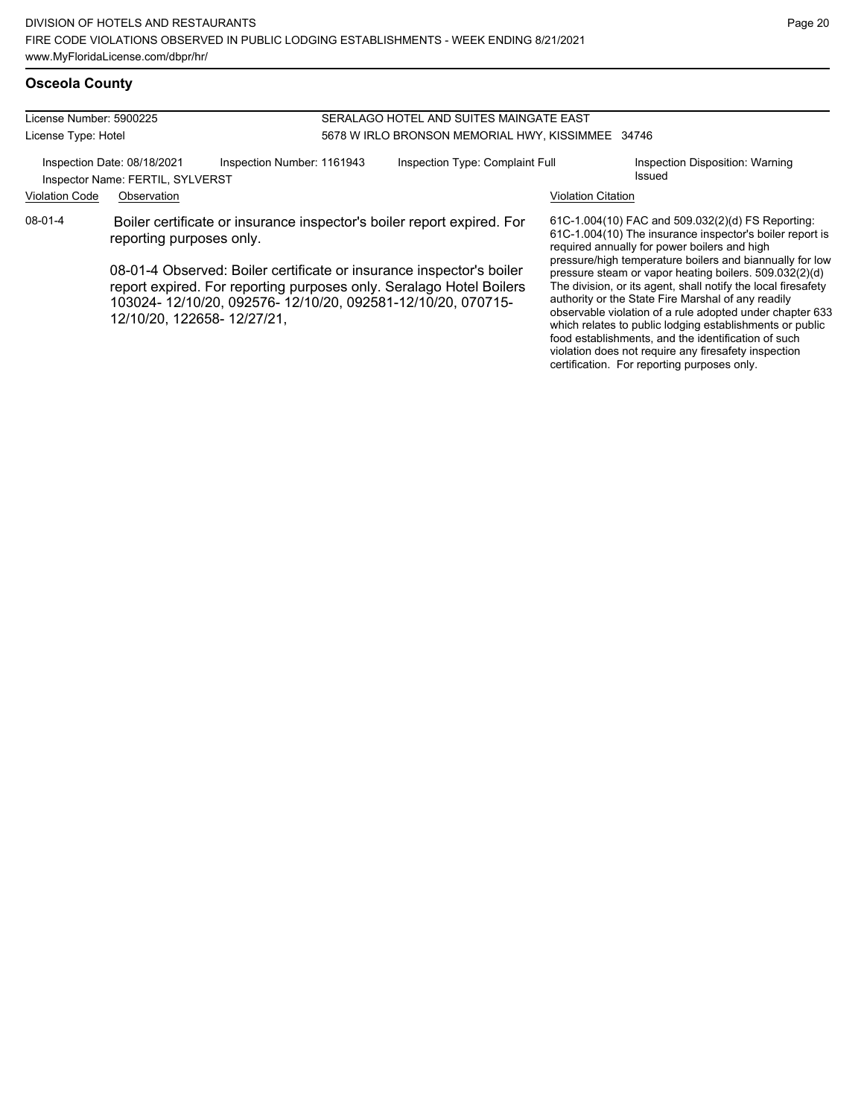#### License Number: 5900225 License Type: Hotel SERALAGO HOTEL AND SUITES MAINGATE EAST 5678 W IRLO BRONSON MEMORIAL HWY, KISSIMMEE 34746 Inspection Date: 08/18/2021 Inspection Number: 1161943 Inspection Type: Complaint Full Inspection Disposition: Warning Issued Inspector Name: FERTIL, SYLVERST Violation Code Observation Violation Citation 61C-1.004(10) FAC and 509.032(2)(d) FS Reporting: required annually for power boilers and high 08-01-4 Boiler certificate or insurance inspector's boiler report expired. For reporting purposes only. 08-01-4 Observed: Boiler certificate or insurance inspector's boiler

report expired. For reporting purposes only. Seralago Hotel Boilers 103024- 12/10/20, 092576- 12/10/20, 092581-12/10/20, 070715- 12/10/20, 122658- 12/27/21,

61C-1.004(10) The insurance inspector's boiler report is pressure/high temperature boilers and biannually for low pressure steam or vapor heating boilers. 509.032(2)(d) The division, or its agent, shall notify the local firesafety authority or the State Fire Marshal of any readily observable violation of a rule adopted under chapter 633 which relates to public lodging establishments or public food establishments, and the identification of such violation does not require any firesafety inspection certification. For reporting purposes only.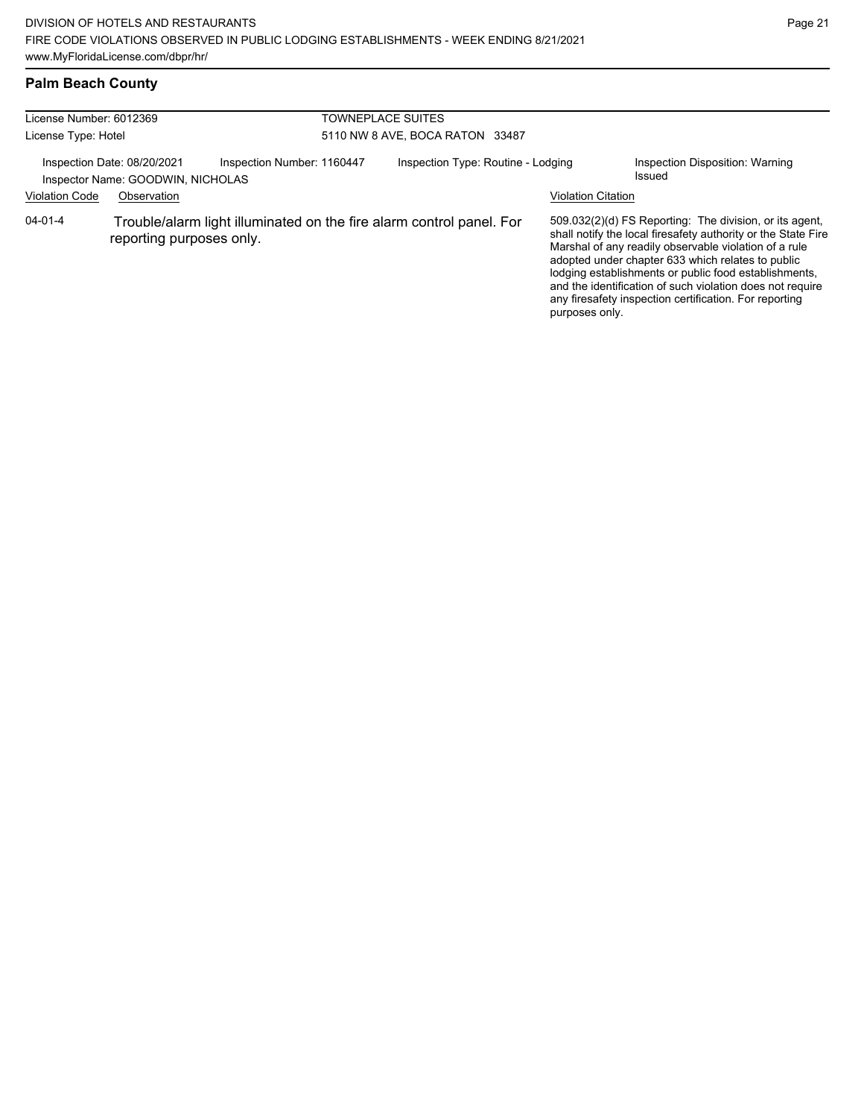## **Palm Beach County**

| License Number: 6012369<br>License Type: Hotel |                                                                                                  |                            | TOWNEPLACE SUITES<br>5110 NW 8 AVE, BOCA RATON 33487 |                                    |                                                                                                                                                                                                                                                                                                                                                                                                                        |                                           |  |
|------------------------------------------------|--------------------------------------------------------------------------------------------------|----------------------------|------------------------------------------------------|------------------------------------|------------------------------------------------------------------------------------------------------------------------------------------------------------------------------------------------------------------------------------------------------------------------------------------------------------------------------------------------------------------------------------------------------------------------|-------------------------------------------|--|
|                                                | Inspection Date: 08/20/2021<br>Inspector Name: GOODWIN, NICHOLAS                                 | Inspection Number: 1160447 |                                                      | Inspection Type: Routine - Lodging |                                                                                                                                                                                                                                                                                                                                                                                                                        | Inspection Disposition: Warning<br>Issued |  |
| <b>Violation Code</b>                          | Observation                                                                                      |                            |                                                      |                                    | <b>Violation Citation</b>                                                                                                                                                                                                                                                                                                                                                                                              |                                           |  |
| $04 - 01 - 4$                                  | Trouble/alarm light illuminated on the fire alarm control panel. For<br>reporting purposes only. |                            |                                                      | purposes only.                     | 509.032(2)(d) FS Reporting: The division, or its agent,<br>shall notify the local firesafety authority or the State Fire<br>Marshal of any readily observable violation of a rule<br>adopted under chapter 633 which relates to public<br>lodging establishments or public food establishments,<br>and the identification of such violation does not require<br>any firesafety inspection certification. For reporting |                                           |  |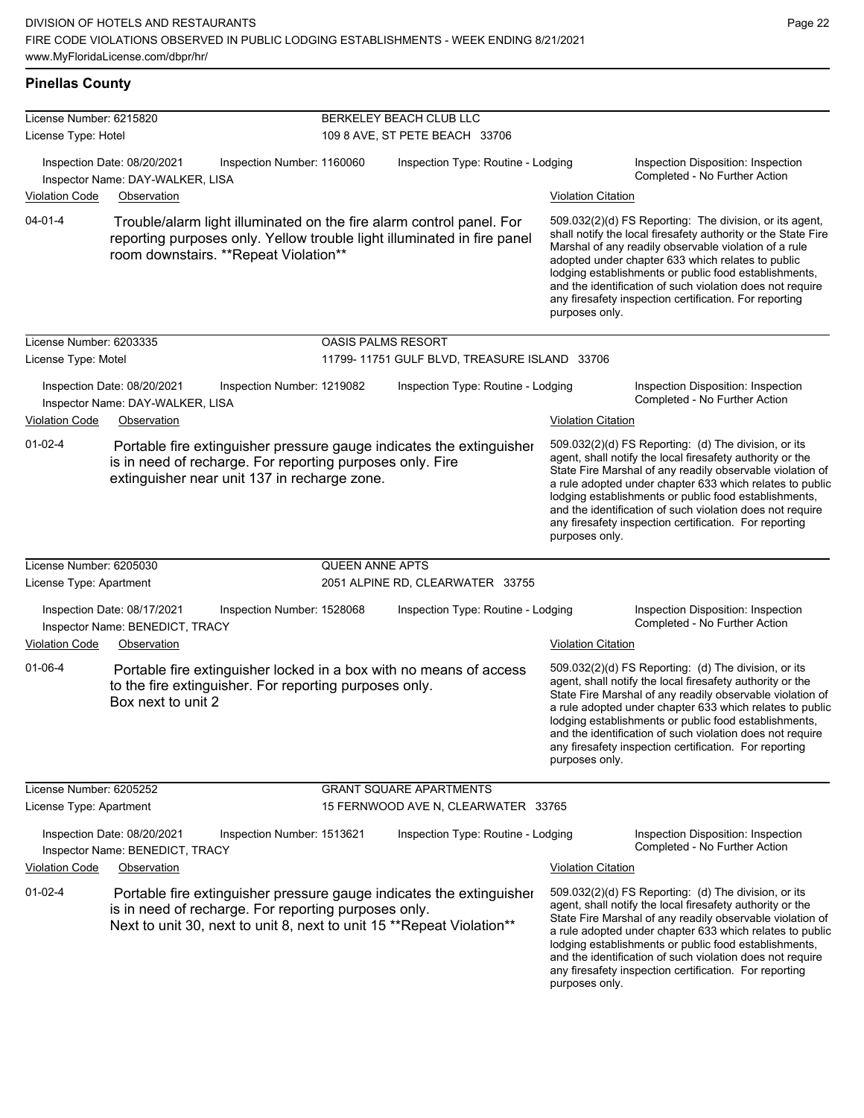#### **Pinellas County**

| License Number: 6215820 |                                                                 |                                                                                                                                                                                                        | BERKELEY BEACH CLUB LLC                      |                           |                                                                                                                                                                                                                                                                                                                                                                                                                            |
|-------------------------|-----------------------------------------------------------------|--------------------------------------------------------------------------------------------------------------------------------------------------------------------------------------------------------|----------------------------------------------|---------------------------|----------------------------------------------------------------------------------------------------------------------------------------------------------------------------------------------------------------------------------------------------------------------------------------------------------------------------------------------------------------------------------------------------------------------------|
| License Type: Hotel     |                                                                 |                                                                                                                                                                                                        | 109 8 AVE, ST PETE BEACH 33706               |                           |                                                                                                                                                                                                                                                                                                                                                                                                                            |
|                         | Inspection Date: 08/20/2021<br>Inspector Name: DAY-WALKER, LISA | Inspection Number: 1160060                                                                                                                                                                             | Inspection Type: Routine - Lodging           |                           | Inspection Disposition: Inspection<br>Completed - No Further Action                                                                                                                                                                                                                                                                                                                                                        |
| <b>Violation Code</b>   | Observation                                                     |                                                                                                                                                                                                        |                                              | <b>Violation Citation</b> |                                                                                                                                                                                                                                                                                                                                                                                                                            |
| $04 - 01 - 4$           |                                                                 | Trouble/alarm light illuminated on the fire alarm control panel. For<br>reporting purposes only. Yellow trouble light illuminated in fire panel<br>room downstairs. **Repeat Violation**               |                                              | purposes only.            | 509.032(2)(d) FS Reporting: The division, or its agent,<br>shall notify the local firesafety authority or the State Fire<br>Marshal of any readily observable violation of a rule<br>adopted under chapter 633 which relates to public<br>lodging establishments or public food establishments,<br>and the identification of such violation does not require<br>any firesafety inspection certification. For reporting     |
| License Number: 6203335 |                                                                 |                                                                                                                                                                                                        | <b>OASIS PALMS RESORT</b>                    |                           |                                                                                                                                                                                                                                                                                                                                                                                                                            |
| License Type: Motel     |                                                                 |                                                                                                                                                                                                        | 11799-11751 GULF BLVD, TREASURE ISLAND 33706 |                           |                                                                                                                                                                                                                                                                                                                                                                                                                            |
|                         | Inspection Date: 08/20/2021<br>Inspector Name: DAY-WALKER, LISA | Inspection Number: 1219082                                                                                                                                                                             | Inspection Type: Routine - Lodging           |                           | Inspection Disposition: Inspection<br>Completed - No Further Action                                                                                                                                                                                                                                                                                                                                                        |
| <b>Violation Code</b>   | Observation                                                     |                                                                                                                                                                                                        |                                              | <b>Violation Citation</b> |                                                                                                                                                                                                                                                                                                                                                                                                                            |
| $01 - 02 - 4$           |                                                                 | Portable fire extinguisher pressure gauge indicates the extinguisher<br>is in need of recharge. For reporting purposes only. Fire<br>extinguisher near unit 137 in recharge zone.                      |                                              | purposes only.            | 509.032(2)(d) FS Reporting: (d) The division, or its<br>agent, shall notify the local firesafety authority or the<br>State Fire Marshal of any readily observable violation of<br>a rule adopted under chapter 633 which relates to public<br>lodging establishments or public food establishments,<br>and the identification of such violation does not require<br>any firesafety inspection certification. For reporting |
| License Number: 6205030 |                                                                 | <b>QUEEN ANNE APTS</b>                                                                                                                                                                                 |                                              |                           |                                                                                                                                                                                                                                                                                                                                                                                                                            |
| License Type: Apartment |                                                                 |                                                                                                                                                                                                        | 2051 ALPINE RD, CLEARWATER 33755             |                           |                                                                                                                                                                                                                                                                                                                                                                                                                            |
|                         | Inspection Date: 08/17/2021<br>Inspector Name: BENEDICT, TRACY  | Inspection Number: 1528068                                                                                                                                                                             | Inspection Type: Routine - Lodging           |                           | Inspection Disposition: Inspection<br>Completed - No Further Action                                                                                                                                                                                                                                                                                                                                                        |
| <b>Violation Code</b>   | Observation                                                     |                                                                                                                                                                                                        |                                              | <b>Violation Citation</b> |                                                                                                                                                                                                                                                                                                                                                                                                                            |
| $01 - 06 - 4$           | Box next to unit 2                                              | Portable fire extinguisher locked in a box with no means of access<br>to the fire extinguisher. For reporting purposes only.                                                                           |                                              | purposes only.            | 509.032(2)(d) FS Reporting: (d) The division, or its<br>agent, shall notify the local firesafety authority or the<br>State Fire Marshal of any readily observable violation of<br>a rule adopted under chapter 633 which relates to public<br>lodging establishments or public food establishments,<br>and the identification of such violation does not require<br>any firesafety inspection certification. For reporting |
| License Number: 6205252 |                                                                 |                                                                                                                                                                                                        | <b>GRANT SQUARE APARTMENTS</b>               |                           |                                                                                                                                                                                                                                                                                                                                                                                                                            |
| License Type: Apartment |                                                                 |                                                                                                                                                                                                        | 15 FERNWOOD AVE N, CLEARWATER 33765          |                           |                                                                                                                                                                                                                                                                                                                                                                                                                            |
|                         | Inspection Date: 08/20/2021<br>Inspector Name: BENEDICT, TRACY  | Inspection Number: 1513621                                                                                                                                                                             | Inspection Type: Routine - Lodging           |                           | Inspection Disposition: Inspection<br>Completed - No Further Action                                                                                                                                                                                                                                                                                                                                                        |
| <b>Violation Code</b>   | Observation                                                     |                                                                                                                                                                                                        |                                              | <b>Violation Citation</b> |                                                                                                                                                                                                                                                                                                                                                                                                                            |
| $01 - 02 - 4$           |                                                                 | Portable fire extinguisher pressure gauge indicates the extinguisher<br>is in need of recharge. For reporting purposes only.<br>Next to unit 30, next to unit 8, next to unit 15 ** Repeat Violation** |                                              | purposes only.            | 509.032(2)(d) FS Reporting: (d) The division, or its<br>agent, shall notify the local firesafety authority or the<br>State Fire Marshal of any readily observable violation of<br>a rule adopted under chapter 633 which relates to public<br>lodging establishments or public food establishments,<br>and the identification of such violation does not require<br>any firesafety inspection certification. For reporting |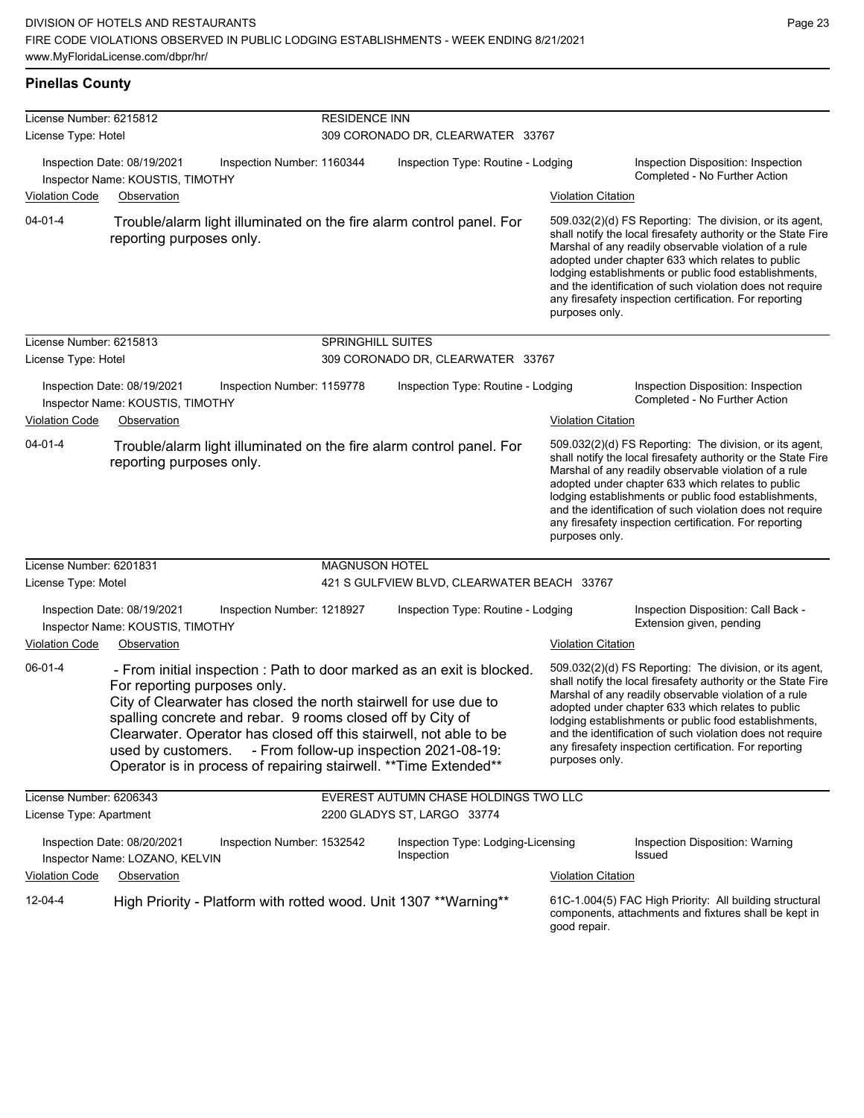#### **Pinellas County**

| License Number: 6215812 |                                                                                                                                                                                      |                            | <b>RESIDENCE INN</b>  |                                                                                                                                                                                                                                                              |                           |                                                                                                                                                                                                                                                                                                                                                                                                                        |  |  |
|-------------------------|--------------------------------------------------------------------------------------------------------------------------------------------------------------------------------------|----------------------------|-----------------------|--------------------------------------------------------------------------------------------------------------------------------------------------------------------------------------------------------------------------------------------------------------|---------------------------|------------------------------------------------------------------------------------------------------------------------------------------------------------------------------------------------------------------------------------------------------------------------------------------------------------------------------------------------------------------------------------------------------------------------|--|--|
| License Type: Hotel     |                                                                                                                                                                                      |                            |                       | 309 CORONADO DR, CLEARWATER 33767                                                                                                                                                                                                                            |                           |                                                                                                                                                                                                                                                                                                                                                                                                                        |  |  |
|                         | Inspection Date: 08/19/2021<br>Inspector Name: KOUSTIS, TIMOTHY                                                                                                                      | Inspection Number: 1160344 |                       | Inspection Type: Routine - Lodging                                                                                                                                                                                                                           |                           | Inspection Disposition: Inspection<br>Completed - No Further Action                                                                                                                                                                                                                                                                                                                                                    |  |  |
| <b>Violation Code</b>   | Observation                                                                                                                                                                          |                            |                       |                                                                                                                                                                                                                                                              | <b>Violation Citation</b> |                                                                                                                                                                                                                                                                                                                                                                                                                        |  |  |
| $04 - 01 - 4$           | reporting purposes only.                                                                                                                                                             |                            |                       | Trouble/alarm light illuminated on the fire alarm control panel. For                                                                                                                                                                                         | purposes only.            | 509.032(2)(d) FS Reporting: The division, or its agent,<br>shall notify the local firesafety authority or the State Fire<br>Marshal of any readily observable violation of a rule<br>adopted under chapter 633 which relates to public<br>lodging establishments or public food establishments,<br>and the identification of such violation does not require<br>any firesafety inspection certification. For reporting |  |  |
| License Number: 6215813 |                                                                                                                                                                                      |                            | SPRINGHILL SUITES     |                                                                                                                                                                                                                                                              |                           |                                                                                                                                                                                                                                                                                                                                                                                                                        |  |  |
| License Type: Hotel     |                                                                                                                                                                                      |                            |                       | 309 CORONADO DR, CLEARWATER 33767                                                                                                                                                                                                                            |                           |                                                                                                                                                                                                                                                                                                                                                                                                                        |  |  |
|                         | Inspection Date: 08/19/2021<br>Inspector Name: KOUSTIS, TIMOTHY                                                                                                                      | Inspection Number: 1159778 |                       | Inspection Type: Routine - Lodging                                                                                                                                                                                                                           |                           | Inspection Disposition: Inspection<br>Completed - No Further Action                                                                                                                                                                                                                                                                                                                                                    |  |  |
| <b>Violation Code</b>   | Observation                                                                                                                                                                          |                            |                       |                                                                                                                                                                                                                                                              | <b>Violation Citation</b> |                                                                                                                                                                                                                                                                                                                                                                                                                        |  |  |
| $04 - 01 - 4$           | reporting purposes only.                                                                                                                                                             |                            |                       | Trouble/alarm light illuminated on the fire alarm control panel. For                                                                                                                                                                                         | purposes only.            | 509.032(2)(d) FS Reporting: The division, or its agent,<br>shall notify the local firesafety authority or the State Fire<br>Marshal of any readily observable violation of a rule<br>adopted under chapter 633 which relates to public<br>lodging establishments or public food establishments,<br>and the identification of such violation does not require<br>any firesafety inspection certification. For reporting |  |  |
| License Number: 6201831 |                                                                                                                                                                                      |                            | <b>MAGNUSON HOTEL</b> |                                                                                                                                                                                                                                                              |                           |                                                                                                                                                                                                                                                                                                                                                                                                                        |  |  |
| License Type: Motel     |                                                                                                                                                                                      |                            |                       | 421 S GULFVIEW BLVD, CLEARWATER BEACH 33767                                                                                                                                                                                                                  |                           |                                                                                                                                                                                                                                                                                                                                                                                                                        |  |  |
|                         | Inspection Date: 08/19/2021<br>Inspector Name: KOUSTIS, TIMOTHY                                                                                                                      | Inspection Number: 1218927 |                       | Inspection Type: Routine - Lodging                                                                                                                                                                                                                           |                           | Inspection Disposition: Call Back -<br>Extension given, pending                                                                                                                                                                                                                                                                                                                                                        |  |  |
| <b>Violation Code</b>   | Observation                                                                                                                                                                          |                            |                       |                                                                                                                                                                                                                                                              | <b>Violation Citation</b> |                                                                                                                                                                                                                                                                                                                                                                                                                        |  |  |
| 06-01-4                 | For reporting purposes only.<br>City of Clearwater has closed the north stairwell for use due to<br>spalling concrete and rebar. 9 rooms closed off by City of<br>used by customers. |                            |                       | - From initial inspection : Path to door marked as an exit is blocked.<br>Clearwater. Operator has closed off this stairwell, not able to be<br>- From follow-up inspection 2021-08-19:<br>Operator is in process of repairing stairwell. ** Time Extended** | purposes only.            | 509.032(2)(d) FS Reporting: The division, or its agent,<br>shall notify the local firesafety authority or the State Fire<br>Marshal of any readily observable violation of a rule<br>adopted under chapter 633 which relates to public<br>lodging establishments or public food establishments,<br>and the identification of such violation does not require<br>any firesafety inspection certification. For reporting |  |  |
| License Number: 6206343 |                                                                                                                                                                                      |                            |                       | EVEREST AUTUMN CHASE HOLDINGS TWO LLC                                                                                                                                                                                                                        |                           |                                                                                                                                                                                                                                                                                                                                                                                                                        |  |  |
| License Type: Apartment |                                                                                                                                                                                      |                            |                       | 2200 GLADYS ST, LARGO 33774                                                                                                                                                                                                                                  |                           |                                                                                                                                                                                                                                                                                                                                                                                                                        |  |  |
|                         | Inspection Date: 08/20/2021<br>Inspector Name: LOZANO, KELVIN                                                                                                                        | Inspection Number: 1532542 |                       | Inspection Type: Lodging-Licensing<br>Inspection                                                                                                                                                                                                             |                           | Inspection Disposition: Warning<br><b>Issued</b>                                                                                                                                                                                                                                                                                                                                                                       |  |  |
| <b>Violation Code</b>   | Observation                                                                                                                                                                          |                            |                       |                                                                                                                                                                                                                                                              | <b>Violation Citation</b> |                                                                                                                                                                                                                                                                                                                                                                                                                        |  |  |
| $12 - 04 - 4$           |                                                                                                                                                                                      |                            |                       | High Priority - Platform with rotted wood. Unit 1307 ** Warning**                                                                                                                                                                                            | good repair.              | 61C-1.004(5) FAC High Priority: All building structural<br>components, attachments and fixtures shall be kept in                                                                                                                                                                                                                                                                                                       |  |  |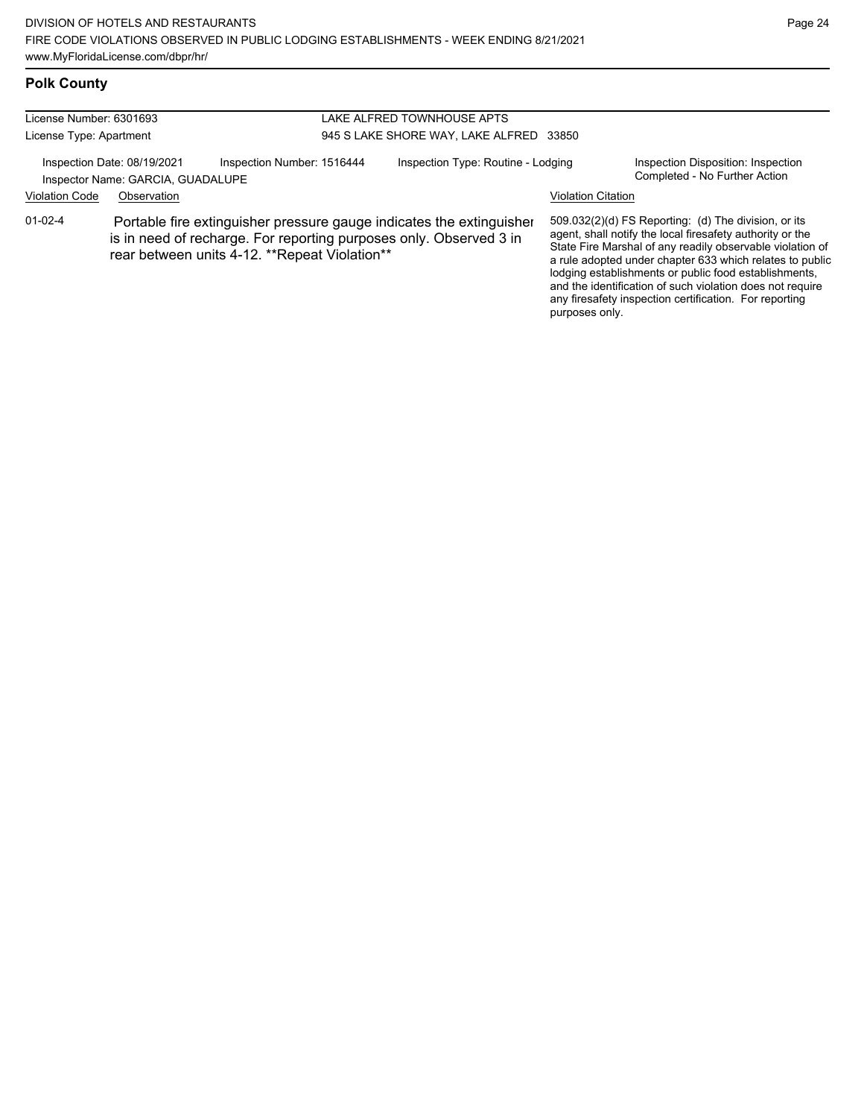## **Polk County**

| License Number: 6301693 |                                                                  |                                                |  | LAKE ALFRED TOWNHOUSE APTS                                                                                                                 |                           |                                                                                                                                                                                                                                                                                                                                                                                                                            |
|-------------------------|------------------------------------------------------------------|------------------------------------------------|--|--------------------------------------------------------------------------------------------------------------------------------------------|---------------------------|----------------------------------------------------------------------------------------------------------------------------------------------------------------------------------------------------------------------------------------------------------------------------------------------------------------------------------------------------------------------------------------------------------------------------|
| License Type: Apartment |                                                                  | 945 S LAKE SHORE WAY, LAKE ALFRED<br>33850     |  |                                                                                                                                            |                           |                                                                                                                                                                                                                                                                                                                                                                                                                            |
|                         | Inspection Date: 08/19/2021<br>Inspector Name: GARCIA, GUADALUPE | Inspection Number: 1516444                     |  | Inspection Type: Routine - Lodging                                                                                                         |                           | Inspection Disposition: Inspection<br>Completed - No Further Action                                                                                                                                                                                                                                                                                                                                                        |
| <b>Violation Code</b>   | Observation                                                      |                                                |  |                                                                                                                                            | <b>Violation Citation</b> |                                                                                                                                                                                                                                                                                                                                                                                                                            |
| $01 - 02 - 4$           |                                                                  | rear between units 4-12. ** Repeat Violation** |  | Portable fire extinguisher pressure gauge indicates the extinguisher<br>is in need of recharge. For reporting purposes only. Observed 3 in | purposes only.            | 509.032(2)(d) FS Reporting: (d) The division, or its<br>agent, shall notify the local firesafety authority or the<br>State Fire Marshal of any readily observable violation of<br>a rule adopted under chapter 633 which relates to public<br>lodging establishments or public food establishments,<br>and the identification of such violation does not require<br>any firesafety inspection certification. For reporting |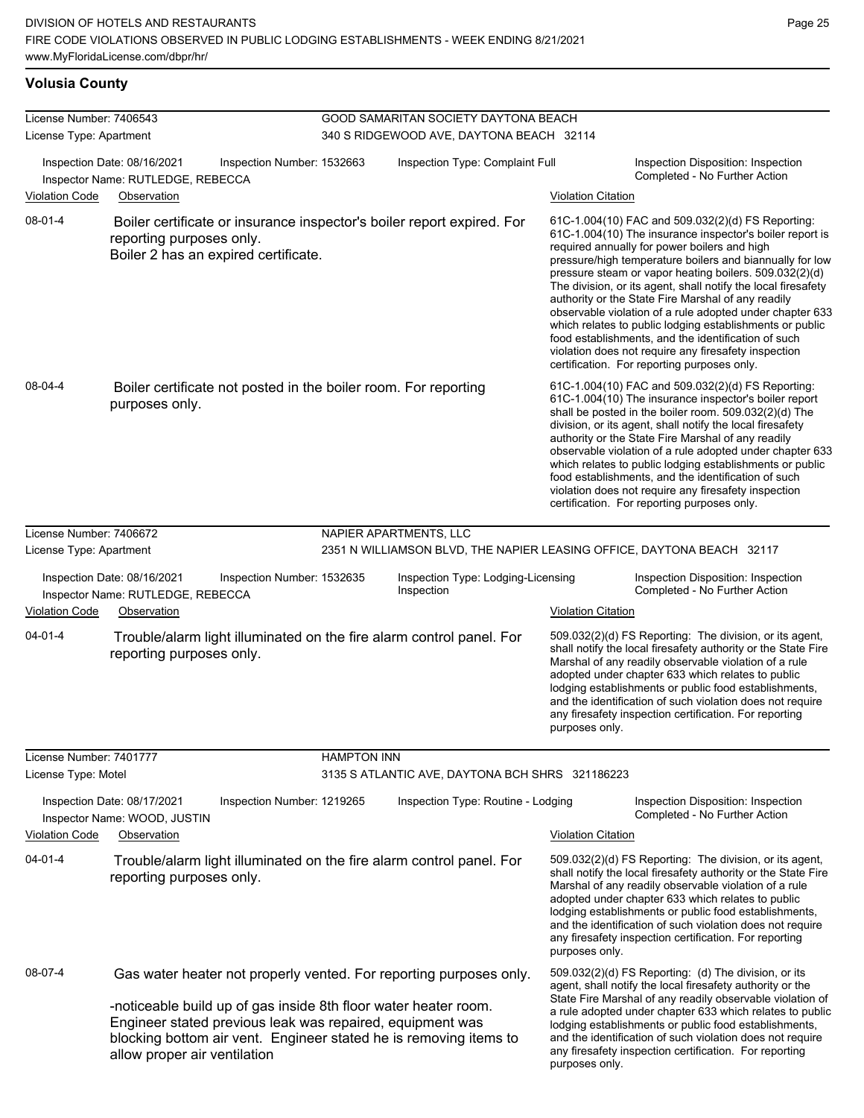#### **Volusia County**

| License Number: 7406543<br>License Type: Apartment<br>Inspection Date: 08/16/2021<br>Inspector Name: RUTLEDGE, REBECCA<br><b>Violation Code</b><br>Observation |                                                                                                                                                                                                                                                                                                         |                                                                 | GOOD SAMARITAN SOCIETY DAYTONA BEACH<br>340 S RIDGEWOOD AVE, DAYTONA BEACH 32114 |                                                                        |                                                                                                                                                                                                                                                                                                                                                                                                                                          |                                                                                                                                                                                                                                                                                                                                                                                                                                                                                                                                                                                                                                                                                                  |  |  |
|----------------------------------------------------------------------------------------------------------------------------------------------------------------|---------------------------------------------------------------------------------------------------------------------------------------------------------------------------------------------------------------------------------------------------------------------------------------------------------|-----------------------------------------------------------------|----------------------------------------------------------------------------------|------------------------------------------------------------------------|------------------------------------------------------------------------------------------------------------------------------------------------------------------------------------------------------------------------------------------------------------------------------------------------------------------------------------------------------------------------------------------------------------------------------------------|--------------------------------------------------------------------------------------------------------------------------------------------------------------------------------------------------------------------------------------------------------------------------------------------------------------------------------------------------------------------------------------------------------------------------------------------------------------------------------------------------------------------------------------------------------------------------------------------------------------------------------------------------------------------------------------------------|--|--|
|                                                                                                                                                                |                                                                                                                                                                                                                                                                                                         | Inspection Number: 1532663                                      |                                                                                  | Inspection Type: Complaint Full                                        |                                                                                                                                                                                                                                                                                                                                                                                                                                          | Inspection Disposition: Inspection                                                                                                                                                                                                                                                                                                                                                                                                                                                                                                                                                                                                                                                               |  |  |
|                                                                                                                                                                |                                                                                                                                                                                                                                                                                                         |                                                                 |                                                                                  |                                                                        | <b>Violation Citation</b>                                                                                                                                                                                                                                                                                                                                                                                                                | Completed - No Further Action                                                                                                                                                                                                                                                                                                                                                                                                                                                                                                                                                                                                                                                                    |  |  |
| $08-01-4$                                                                                                                                                      | reporting purposes only.                                                                                                                                                                                                                                                                                | Boiler 2 has an expired certificate.                            |                                                                                  | Boiler certificate or insurance inspector's boiler report expired. For |                                                                                                                                                                                                                                                                                                                                                                                                                                          | 61C-1.004(10) FAC and 509.032(2)(d) FS Reporting:<br>61C-1.004(10) The insurance inspector's boiler report is<br>required annually for power boilers and high<br>pressure/high temperature boilers and biannually for low<br>pressure steam or vapor heating boilers. 509.032(2)(d)<br>The division, or its agent, shall notify the local firesafety<br>authority or the State Fire Marshal of any readily<br>observable violation of a rule adopted under chapter 633<br>which relates to public lodging establishments or public<br>food establishments, and the identification of such<br>violation does not require any firesafety inspection<br>certification. For reporting purposes only. |  |  |
| 08-04-4                                                                                                                                                        | purposes only.                                                                                                                                                                                                                                                                                          | Boiler certificate not posted in the boiler room. For reporting |                                                                                  |                                                                        |                                                                                                                                                                                                                                                                                                                                                                                                                                          | 61C-1.004(10) FAC and 509.032(2)(d) FS Reporting:<br>61C-1.004(10) The insurance inspector's boiler report<br>shall be posted in the boiler room. 509.032(2)(d) The<br>division, or its agent, shall notify the local firesafety<br>authority or the State Fire Marshal of any readily<br>observable violation of a rule adopted under chapter 633<br>which relates to public lodging establishments or public<br>food establishments, and the identification of such<br>violation does not require any firesafety inspection<br>certification. For reporting purposes only.                                                                                                                     |  |  |
| License Number: 7406672                                                                                                                                        |                                                                                                                                                                                                                                                                                                         |                                                                 |                                                                                  | NAPIER APARTMENTS, LLC                                                 |                                                                                                                                                                                                                                                                                                                                                                                                                                          |                                                                                                                                                                                                                                                                                                                                                                                                                                                                                                                                                                                                                                                                                                  |  |  |
| License Type: Apartment                                                                                                                                        |                                                                                                                                                                                                                                                                                                         |                                                                 |                                                                                  | 2351 N WILLIAMSON BLVD, THE NAPIER LEASING OFFICE, DAYTONA BEACH 32117 |                                                                                                                                                                                                                                                                                                                                                                                                                                          |                                                                                                                                                                                                                                                                                                                                                                                                                                                                                                                                                                                                                                                                                                  |  |  |
| Inspection Date: 08/16/2021<br>Inspector Name: RUTLEDGE, REBECCA                                                                                               |                                                                                                                                                                                                                                                                                                         | Inspection Number: 1532635                                      |                                                                                  | Inspection Type: Lodging-Licensing<br>Inspection                       |                                                                                                                                                                                                                                                                                                                                                                                                                                          | Inspection Disposition: Inspection<br>Completed - No Further Action                                                                                                                                                                                                                                                                                                                                                                                                                                                                                                                                                                                                                              |  |  |
| <b>Violation Code</b>                                                                                                                                          | Observation                                                                                                                                                                                                                                                                                             |                                                                 |                                                                                  |                                                                        | <b>Violation Citation</b>                                                                                                                                                                                                                                                                                                                                                                                                                |                                                                                                                                                                                                                                                                                                                                                                                                                                                                                                                                                                                                                                                                                                  |  |  |
| $04 - 01 - 4$                                                                                                                                                  | reporting purposes only.                                                                                                                                                                                                                                                                                |                                                                 |                                                                                  | Trouble/alarm light illuminated on the fire alarm control panel. For   | purposes only.                                                                                                                                                                                                                                                                                                                                                                                                                           | 509.032(2)(d) FS Reporting: The division, or its agent,<br>shall notify the local firesafety authority or the State Fire<br>Marshal of any readily observable violation of a rule<br>adopted under chapter 633 which relates to public<br>lodging establishments or public food establishments,<br>and the identification of such violation does not require<br>any firesafety inspection certification. For reporting                                                                                                                                                                                                                                                                           |  |  |
| License Number: 7401777                                                                                                                                        |                                                                                                                                                                                                                                                                                                         |                                                                 | <b>HAMPTON INN</b>                                                               |                                                                        |                                                                                                                                                                                                                                                                                                                                                                                                                                          |                                                                                                                                                                                                                                                                                                                                                                                                                                                                                                                                                                                                                                                                                                  |  |  |
| License Type: Motel                                                                                                                                            |                                                                                                                                                                                                                                                                                                         |                                                                 |                                                                                  | 3135 S ATLANTIC AVE, DAYTONA BCH SHRS 321186223                        |                                                                                                                                                                                                                                                                                                                                                                                                                                          |                                                                                                                                                                                                                                                                                                                                                                                                                                                                                                                                                                                                                                                                                                  |  |  |
| Inspection Date: 08/17/2021<br>Inspector Name: WOOD, JUSTIN<br>Violation Code<br>Observation                                                                   |                                                                                                                                                                                                                                                                                                         | Inspection Number: 1219265                                      | Inspection Type: Routine - Lodging                                               |                                                                        | <b>Violation Citation</b>                                                                                                                                                                                                                                                                                                                                                                                                                | Inspection Disposition: Inspection<br>Completed - No Further Action                                                                                                                                                                                                                                                                                                                                                                                                                                                                                                                                                                                                                              |  |  |
|                                                                                                                                                                |                                                                                                                                                                                                                                                                                                         |                                                                 |                                                                                  |                                                                        |                                                                                                                                                                                                                                                                                                                                                                                                                                          |                                                                                                                                                                                                                                                                                                                                                                                                                                                                                                                                                                                                                                                                                                  |  |  |
| $04 - 01 - 4$                                                                                                                                                  | Trouble/alarm light illuminated on the fire alarm control panel. For<br>reporting purposes only.                                                                                                                                                                                                        |                                                                 |                                                                                  |                                                                        | 509.032(2)(d) FS Reporting: The division, or its agent,<br>shall notify the local firesafety authority or the State Fire<br>Marshal of any readily observable violation of a rule<br>adopted under chapter 633 which relates to public<br>lodging establishments or public food establishments,<br>and the identification of such violation does not require<br>any firesafety inspection certification. For reporting<br>purposes only. |                                                                                                                                                                                                                                                                                                                                                                                                                                                                                                                                                                                                                                                                                                  |  |  |
| 08-07-4                                                                                                                                                        | Gas water heater not properly vented. For reporting purposes only.<br>-noticeable build up of gas inside 8th floor water heater room.<br>Engineer stated previous leak was repaired, equipment was<br>blocking bottom air vent. Engineer stated he is removing items to<br>allow proper air ventilation |                                                                 |                                                                                  |                                                                        | purposes only.                                                                                                                                                                                                                                                                                                                                                                                                                           | 509.032(2)(d) FS Reporting: (d) The division, or its<br>agent, shall notify the local firesafety authority or the<br>State Fire Marshal of any readily observable violation of<br>a rule adopted under chapter 633 which relates to public<br>lodging establishments or public food establishments,<br>and the identification of such violation does not require<br>any firesafety inspection certification. For reporting                                                                                                                                                                                                                                                                       |  |  |